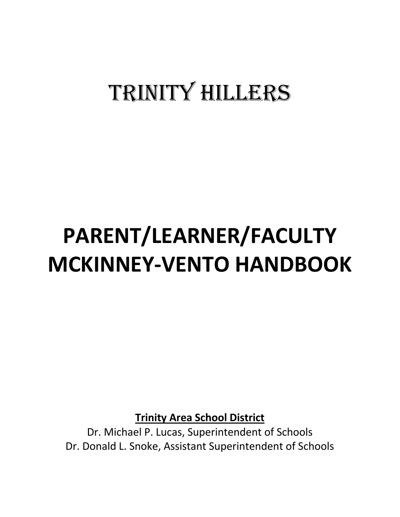# TRINITY HILLERS

# **PARENT/LEARNER/FACULTY MCKINNEY‐VENTO HANDBOOK**

**Trinity Area School District** 

Dr. Michael P. Lucas, Superintendent of Schools Dr. Donald L. Snoke, Assistant Superintendent of Schools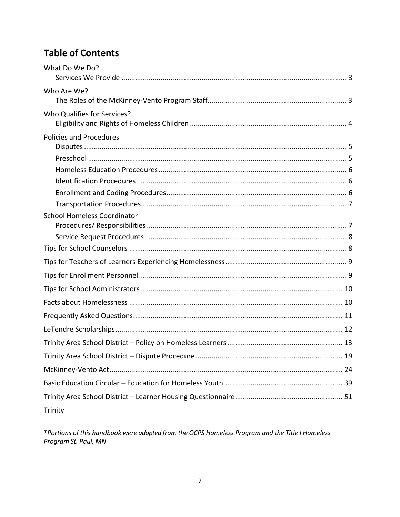## **Table of Contents**

| What Do We Do?                     |
|------------------------------------|
| Who Are We?                        |
| Who Qualifies for Services?        |
| Policies and Procedures            |
|                                    |
|                                    |
|                                    |
|                                    |
|                                    |
|                                    |
| <b>School Homeless Coordinator</b> |
|                                    |
|                                    |
|                                    |
|                                    |
|                                    |
|                                    |
|                                    |
|                                    |
|                                    |
| 19                                 |
|                                    |
|                                    |
|                                    |
| Trinity                            |

\*Portions of this handbook were adopted from the OCPS Homeless Program and the Title I Homeless Program St. Paul, MN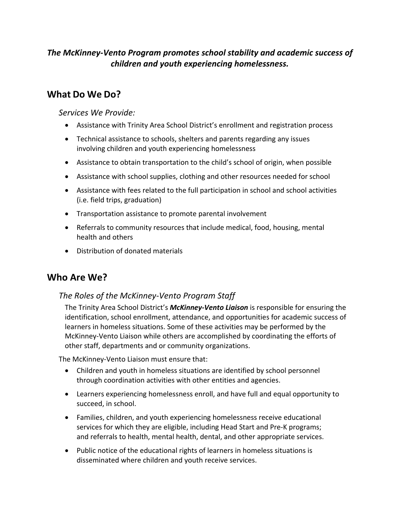## *The McKinney‐Vento Program promotes school stability and academic success of children and youth experiencing homelessness.*

## **What Do We Do?**

*Services We Provide:* 

- Assistance with Trinity Area School District's enrollment and registration process
- Technical assistance to schools, shelters and parents regarding any issues involving children and youth experiencing homelessness
- Assistance to obtain transportation to the child's school of origin, when possible
- Assistance with school supplies, clothing and other resources needed for school
- Assistance with fees related to the full participation in school and school activities (i.e. field trips, graduation)
- Transportation assistance to promote parental involvement
- Referrals to community resources that include medical, food, housing, mental health and others
- Distribution of donated materials

## **Who Are We?**

## *The Roles of the McKinney‐Vento Program Staff*

The Trinity Area School District's *McKinney‐Vento Liaison* is responsible for ensuring the identification, school enrollment, attendance, and opportunities for academic success of learners in homeless situations. Some of these activities may be performed by the McKinney‐Vento Liaison while others are accomplished by coordinating the efforts of other staff, departments and or community organizations.

The McKinney‐Vento Liaison must ensure that:

- Children and youth in homeless situations are identified by school personnel through coordination activities with other entities and agencies.
- Learners experiencing homelessness enroll, and have full and equal opportunity to succeed, in school.
- Families, children, and youth experiencing homelessness receive educational services for which they are eligible, including Head Start and Pre‐K programs; and referrals to health, mental health, dental, and other appropriate services.
- Public notice of the educational rights of learners in homeless situations is disseminated where children and youth receive services.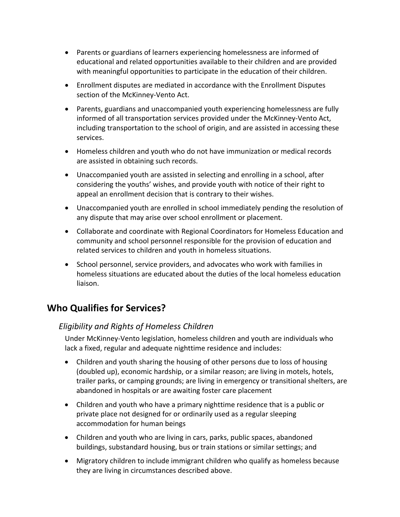- Parents or guardians of learners experiencing homelessness are informed of educational and related opportunities available to their children and are provided with meaningful opportunities to participate in the education of their children.
- Enrollment disputes are mediated in accordance with the Enrollment Disputes section of the McKinney‐Vento Act.
- Parents, guardians and unaccompanied youth experiencing homelessness are fully informed of all transportation services provided under the McKinney‐Vento Act, including transportation to the school of origin, and are assisted in accessing these services.
- Homeless children and youth who do not have immunization or medical records are assisted in obtaining such records.
- Unaccompanied youth are assisted in selecting and enrolling in a school, after considering the youths' wishes, and provide youth with notice of their right to appeal an enrollment decision that is contrary to their wishes.
- Unaccompanied youth are enrolled in school immediately pending the resolution of any dispute that may arise over school enrollment or placement.
- Collaborate and coordinate with Regional Coordinators for Homeless Education and community and school personnel responsible for the provision of education and related services to children and youth in homeless situations.
- School personnel, service providers, and advocates who work with families in homeless situations are educated about the duties of the local homeless education liaison.

## **Who Qualifies for Services?**

## *Eligibility and Rights of Homeless Children*

Under McKinney‐Vento legislation, homeless children and youth are individuals who lack a fixed, regular and adequate nighttime residence and includes:

- Children and youth sharing the housing of other persons due to loss of housing (doubled up), economic hardship, or a similar reason; are living in motels, hotels, trailer parks, or camping grounds; are living in emergency or transitional shelters, are abandoned in hospitals or are awaiting foster care placement
- Children and youth who have a primary nighttime residence that is a public or private place not designed for or ordinarily used as a regular sleeping accommodation for human beings
- Children and youth who are living in cars, parks, public spaces, abandoned buildings, substandard housing, bus or train stations or similar settings; and
- Migratory children to include immigrant children who qualify as homeless because they are living in circumstances described above.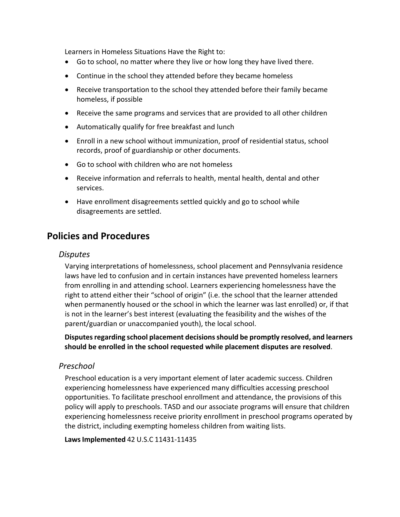Learners in Homeless Situations Have the Right to:

- Go to school, no matter where they live or how long they have lived there.
- Continue in the school they attended before they became homeless
- Receive transportation to the school they attended before their family became homeless, if possible
- Receive the same programs and services that are provided to all other children
- Automatically qualify for free breakfast and lunch
- Enroll in a new school without immunization, proof of residential status, school records, proof of guardianship or other documents.
- Go to school with children who are not homeless
- Receive information and referrals to health, mental health, dental and other services.
- Have enrollment disagreements settled quickly and go to school while disagreements are settled.

## **Policies and Procedures**

#### *Disputes*

Varying interpretations of homelessness, school placement and Pennsylvania residence laws have led to confusion and in certain instances have prevented homeless learners from enrolling in and attending school. Learners experiencing homelessness have the right to attend either their "school of origin" (i.e. the school that the learner attended when permanently housed or the school in which the learner was last enrolled) or, if that is not in the learner's best interest (evaluating the feasibility and the wishes of the parent/guardian or unaccompanied youth), the local school.

**Disputes regarding school placement decisions should be promptly resolved, and learners should be enrolled in the school requested while placement disputes are resolved**.

## *Preschool*

Preschool education is a very important element of later academic success. Children experiencing homelessness have experienced many difficulties accessing preschool opportunities. To facilitate preschool enrollment and attendance, the provisions of this policy will apply to preschools. TASD and our associate programs will ensure that children experiencing homelessness receive priority enrollment in preschool programs operated by the district, including exempting homeless children from waiting lists.

**Laws Implemented** 42 U.S.C 11431‐11435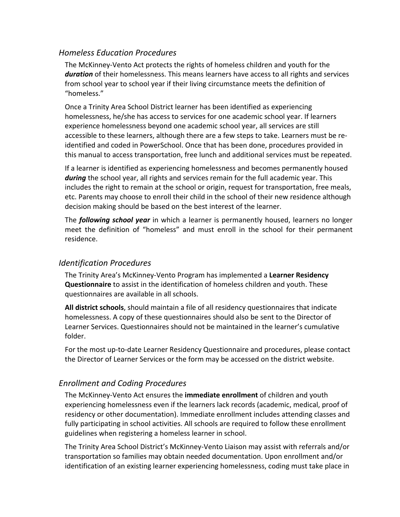## *Homeless Education Procedures*

The McKinney‐Vento Act protects the rights of homeless children and youth for the *duration* of their homelessness. This means learners have access to all rights and services from school year to school year if their living circumstance meets the definition of "homeless."

Once a Trinity Area School District learner has been identified as experiencing homelessness, he/she has access to services for one academic school year. If learners experience homelessness beyond one academic school year, all services are still accessible to these learners, although there are a few steps to take. Learners must be re‐ identified and coded in PowerSchool. Once that has been done, procedures provided in this manual to access transportation, free lunch and additional services must be repeated.

If a learner is identified as experiencing homelessness and becomes permanently housed *during* the school year, all rights and services remain for the full academic year. This includes the right to remain at the school or origin, request for transportation, free meals, etc. Parents may choose to enroll their child in the school of their new residence although decision making should be based on the best interest of the learner.

The *following school year* in which a learner is permanently housed, learners no longer meet the definition of "homeless" and must enroll in the school for their permanent residence.

## *Identification Procedures*

The Trinity Area's McKinney‐Vento Program has implemented a **Learner Residency Questionnaire** to assist in the identification of homeless children and youth. These questionnaires are available in all schools.

**All district schools**, should maintain a file of all residency questionnaires that indicate homelessness. A copy of these questionnaires should also be sent to the Director of Learner Services. Questionnaires should not be maintained in the learner's cumulative folder.

For the most up‐to‐date Learner Residency Questionnaire and procedures, please contact the Director of Learner Services or the form may be accessed on the district website.

## *Enrollment and Coding Procedures*

The McKinney‐Vento Act ensures the **immediate enrollment** of children and youth experiencing homelessness even if the learners lack records (academic, medical, proof of residency or other documentation). Immediate enrollment includes attending classes and fully participating in school activities. All schools are required to follow these enrollment guidelines when registering a homeless learner in school.

The Trinity Area School District's McKinney‐Vento Liaison may assist with referrals and/or transportation so families may obtain needed documentation. Upon enrollment and/or identification of an existing learner experiencing homelessness, coding must take place in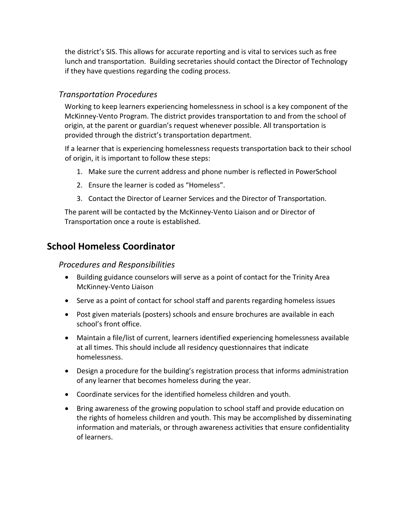the district's SIS. This allows for accurate reporting and is vital to services such as free lunch and transportation. Building secretaries should contact the Director of Technology if they have questions regarding the coding process.

## *Transportation Procedures*

Working to keep learners experiencing homelessness in school is a key component of the McKinney‐Vento Program. The district provides transportation to and from the school of origin, at the parent or guardian's request whenever possible. All transportation is provided through the district's transportation department.

If a learner that is experiencing homelessness requests transportation back to their school of origin, it is important to follow these steps:

- 1. Make sure the current address and phone number is reflected in PowerSchool
- 2. Ensure the learner is coded as "Homeless".
- 3. Contact the Director of Learner Services and the Director of Transportation.

The parent will be contacted by the McKinney‐Vento Liaison and or Director of Transportation once a route is established.

## **School Homeless Coordinator**

## *Procedures and Responsibilities*

- Building guidance counselors will serve as a point of contact for the Trinity Area McKinney‐Vento Liaison
- Serve as a point of contact for school staff and parents regarding homeless issues
- Post given materials (posters) schools and ensure brochures are available in each school's front office.
- Maintain a file/list of current, learners identified experiencing homelessness available at all times. This should include all residency questionnaires that indicate homelessness.
- Design a procedure for the building's registration process that informs administration of any learner that becomes homeless during the year.
- Coordinate services for the identified homeless children and youth.
- Bring awareness of the growing population to school staff and provide education on the rights of homeless children and youth. This may be accomplished by disseminating information and materials, or through awareness activities that ensure confidentiality of learners.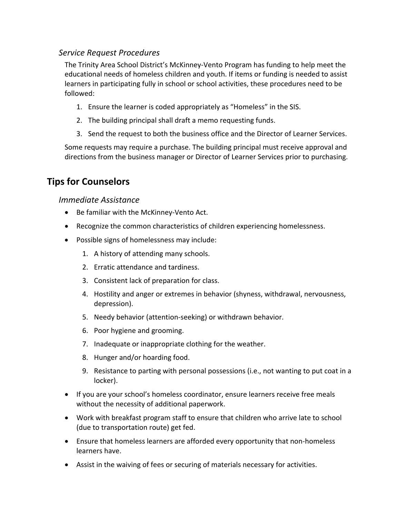## *Service Request Procedures*

The Trinity Area School District's McKinney‐Vento Program has funding to help meet the educational needs of homeless children and youth. If items or funding is needed to assist learners in participating fully in school or school activities, these procedures need to be followed:

- 1. Ensure the learner is coded appropriately as "Homeless" in the SIS.
- 2. The building principal shall draft a memo requesting funds.
- 3. Send the request to both the business office and the Director of Learner Services.

Some requests may require a purchase. The building principal must receive approval and directions from the business manager or Director of Learner Services prior to purchasing.

## **Tips for Counselors**

## *Immediate Assistance*

- Be familiar with the McKinney-Vento Act.
- Recognize the common characteristics of children experiencing homelessness.
- Possible signs of homelessness may include:
	- 1. A history of attending many schools.
	- 2. Erratic attendance and tardiness.
	- 3. Consistent lack of preparation for class.
	- 4. Hostility and anger or extremes in behavior (shyness, withdrawal, nervousness, depression).
	- 5. Needy behavior (attention‐seeking) or withdrawn behavior.
	- 6. Poor hygiene and grooming.
	- 7. Inadequate or inappropriate clothing for the weather.
	- 8. Hunger and/or hoarding food.
	- 9. Resistance to parting with personal possessions (i.e., not wanting to put coat in a locker).
- If you are your school's homeless coordinator, ensure learners receive free meals without the necessity of additional paperwork.
- Work with breakfast program staff to ensure that children who arrive late to school (due to transportation route) get fed.
- Ensure that homeless learners are afforded every opportunity that non‐homeless learners have.
- Assist in the waiving of fees or securing of materials necessary for activities.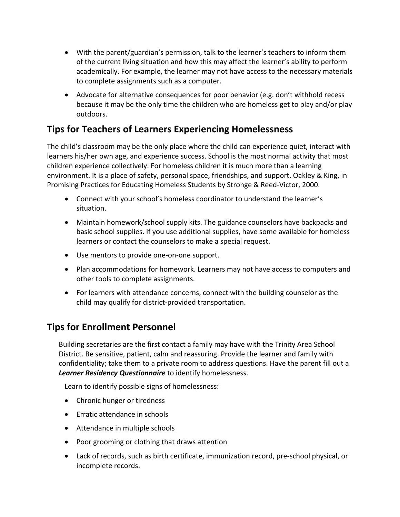- With the parent/guardian's permission, talk to the learner's teachers to inform them of the current living situation and how this may affect the learner's ability to perform academically. For example, the learner may not have access to the necessary materials to complete assignments such as a computer.
- Advocate for alternative consequences for poor behavior (e.g. don't withhold recess because it may be the only time the children who are homeless get to play and/or play outdoors.

## **Tips for Teachers of Learners Experiencing Homelessness**

The child's classroom may be the only place where the child can experience quiet, interact with learners his/her own age, and experience success. School is the most normal activity that most children experience collectively. For homeless children it is much more than a learning environment. It is a place of safety, personal space, friendships, and support. Oakley & King, in Promising Practices for Educating Homeless Students by Stronge & Reed‐Victor, 2000.

- Connect with your school's homeless coordinator to understand the learner's situation.
- Maintain homework/school supply kits. The guidance counselors have backpacks and basic school supplies. If you use additional supplies, have some available for homeless learners or contact the counselors to make a special request.
- Use mentors to provide one-on-one support.
- Plan accommodations for homework. Learners may not have access to computers and other tools to complete assignments.
- For learners with attendance concerns, connect with the building counselor as the child may qualify for district‐provided transportation.

## **Tips for Enrollment Personnel**

Building secretaries are the first contact a family may have with the Trinity Area School District. Be sensitive, patient, calm and reassuring. Provide the learner and family with confidentiality; take them to a private room to address questions. Have the parent fill out a *Learner Residency Questionnaire* to identify homelessness.

Learn to identify possible signs of homelessness:

- Chronic hunger or tiredness
- $\bullet$  Frratic attendance in schools
- Attendance in multiple schools
- Poor grooming or clothing that draws attention
- Lack of records, such as birth certificate, immunization record, pre-school physical, or incomplete records.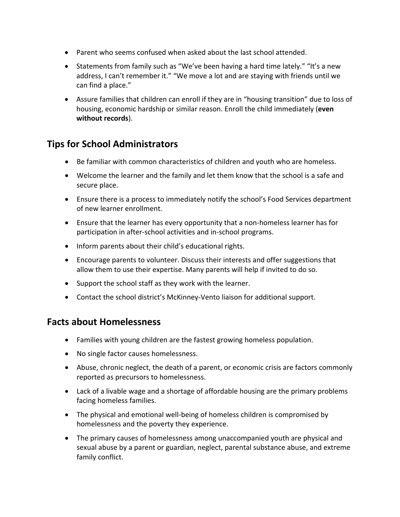- Parent who seems confused when asked about the last school attended.
- Statements from family such as "We've been having a hard time lately." "It's a new address, I can't remember it." "We move a lot and are staying with friends until we can find a place."
- Assure families that children can enroll if they are in "housing transition" due to loss of housing, economic hardship or similar reason. Enroll the child immediately (**even without records**).

## **Tips for School Administrators**

- Be familiar with common characteristics of children and youth who are homeless.
- Welcome the learner and the family and let them know that the school is a safe and secure place.
- Ensure there is a process to immediately notify the school's Food Services department of new learner enrollment.
- Ensure that the learner has every opportunity that a non‐homeless learner has for participation in after‐school activities and in‐school programs.
- Inform parents about their child's educational rights.
- Encourage parents to volunteer. Discuss their interests and offer suggestions that allow them to use their expertise. Many parents will help if invited to do so.
- Support the school staff as they work with the learner.
- Contact the school district's McKinney-Vento liaison for additional support.

## **Facts about Homelessness**

- Families with young children are the fastest growing homeless population.
- No single factor causes homelessness.
- Abuse, chronic neglect, the death of a parent, or economic crisis are factors commonly reported as precursors to homelessness.
- Lack of a livable wage and a shortage of affordable housing are the primary problems facing homeless families.
- The physical and emotional well‐being of homeless children is compromised by homelessness and the poverty they experience.
- The primary causes of homelessness among unaccompanied youth are physical and sexual abuse by a parent or guardian, neglect, parental substance abuse, and extreme family conflict.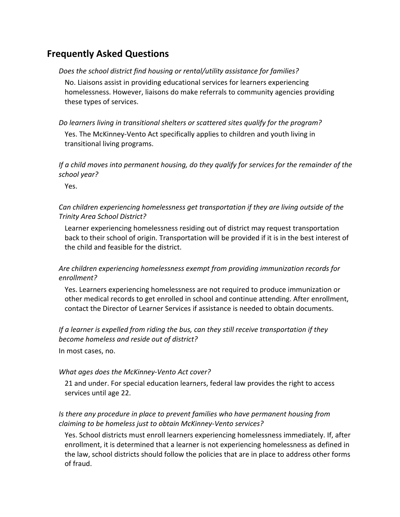## **Frequently Asked Questions**

#### *Does the school district find housing or rental/utility assistance for families?*

No. Liaisons assist in providing educational services for learners experiencing homelessness. However, liaisons do make referrals to community agencies providing these types of services.

## *Do learners living in transitional shelters or scattered sites qualify for the program?*

Yes. The McKinney‐Vento Act specifically applies to children and youth living in transitional living programs.

*If a child moves into permanent housing, do they qualify for services for the remainder of the school year?* 

Yes.

## *Can children experiencing homelessness get transportation if they are living outside of the Trinity Area School District?*

Learner experiencing homelessness residing out of district may request transportation back to their school of origin. Transportation will be provided if it is in the best interest of the child and feasible for the district.

## *Are children experiencing homelessness exempt from providing immunization records for enrollment?*

Yes. Learners experiencing homelessness are not required to produce immunization or other medical records to get enrolled in school and continue attending. After enrollment, contact the Director of Learner Services if assistance is needed to obtain documents.

## *If a learner is expelled from riding the bus, can they still receive transportation if they become homeless and reside out of district?*

In most cases, no.

#### *What ages does the McKinney‐Vento Act cover?*

21 and under. For special education learners, federal law provides the right to access services until age 22.

## *Is there any procedure in place to prevent families who have permanent housing from claiming to be homeless just to obtain McKinney‐Vento services?*

Yes. School districts must enroll learners experiencing homelessness immediately. If, after enrollment, it is determined that a learner is not experiencing homelessness as defined in the law, school districts should follow the policies that are in place to address other forms of fraud.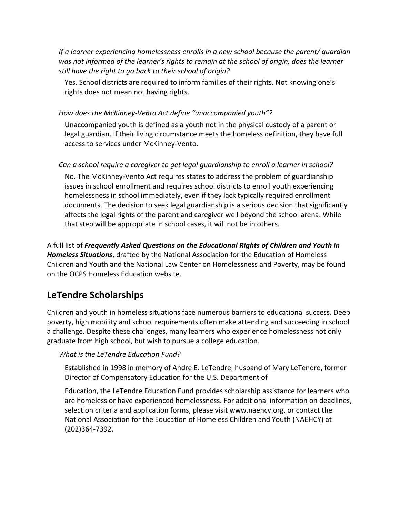*If a learner experiencing homelessness enrolls in a new school because the parent/ guardian was not informed of the learner's rights to remain at the school of origin, does the learner still have the right to go back to their school of origin?* 

Yes. School districts are required to inform families of their rights. Not knowing one's rights does not mean not having rights.

*How does the McKinney‐Vento Act define "unaccompanied youth"?* 

Unaccompanied youth is defined as a youth not in the physical custody of a parent or legal guardian. If their living circumstance meets the homeless definition, they have full access to services under McKinney‐Vento.

*Can a school require a caregiver to get legal guardianship to enroll a learner in school?* 

No. The McKinney‐Vento Act requires states to address the problem of guardianship issues in school enrollment and requires school districts to enroll youth experiencing homelessness in school immediately, even if they lack typically required enrollment documents. The decision to seek legal guardianship is a serious decision that significantly affects the legal rights of the parent and caregiver well beyond the school arena. While that step will be appropriate in school cases, it will not be in others.

A full list of *Frequently Asked Questions on the Educational Rights of Children and Youth in Homeless Situations*, drafted by the National Association for the Education of Homeless Children and Youth and the National Law Center on Homelessness and Poverty, may be found on the OCPS Homeless Education website.

## **LeTendre Scholarships**

Children and youth in homeless situations face numerous barriers to educational success. Deep poverty, high mobility and school requirements often make attending and succeeding in school a challenge. Despite these challenges, many learners who experience homelessness not only graduate from high school, but wish to pursue a college education.

*What is the LeTendre Education Fund?* 

Established in 1998 in memory of Andre E. LeTendre, husband of Mary LeTendre, former Director of Compensatory Education for the U.S. Department of

Education, the LeTendre Education Fund provides scholarship assistance for learners who are homeless or have experienced homelessness. For additional information on deadlines, selection criteria and application forms, please visit www.naehcy.org, or contact the National Association for the Education of Homeless Children and Youth (NAEHCY) at (202)364‐7392.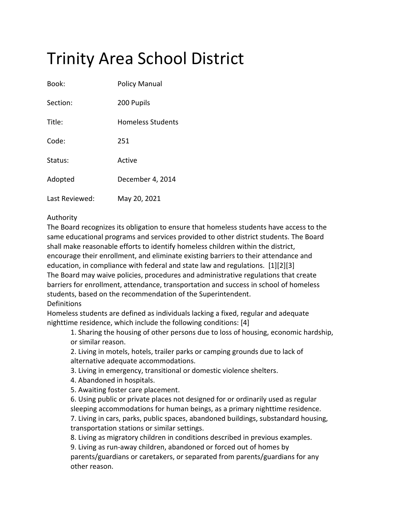## Trinity Area School District

| Book:          | <b>Policy Manual</b> |
|----------------|----------------------|
| Section:       | 200 Pupils           |
| Title:         | Homeless Students    |
| Code:          | 251                  |
| Status:        | Active               |
| Adopted        | December 4, 2014     |
| Last Reviewed: | May 20, 2021         |

#### Authority

The Board recognizes its obligation to ensure that homeless students have access to the same educational programs and services provided to other district students. The Board shall make reasonable efforts to identify homeless children within the district, encourage their enrollment, and eliminate existing barriers to their attendance and education, in compliance with federal and state law and regulations. [1][2][3] The Board may waive policies, procedures and administrative regulations that create barriers for enrollment, attendance, transportation and success in school of homeless students, based on the recommendation of the Superintendent. Definitions

Homeless students are defined as individuals lacking a fixed, regular and adequate nighttime residence, which include the following conditions: [4]

1. Sharing the housing of other persons due to loss of housing, economic hardship, or similar reason.

2. Living in motels, hotels, trailer parks or camping grounds due to lack of alternative adequate accommodations.

3. Living in emergency, transitional or domestic violence shelters.

4. Abandoned in hospitals.

5. Awaiting foster care placement.

6. Using public or private places not designed for or ordinarily used as regular sleeping accommodations for human beings, as a primary nighttime residence. 7. Living in cars, parks, public spaces, abandoned buildings, substandard housing, transportation stations or similar settings.

8. Living as migratory children in conditions described in previous examples.

9. Living as run‐away children, abandoned or forced out of homes by

parents/guardians or caretakers, or separated from parents/guardians for any other reason.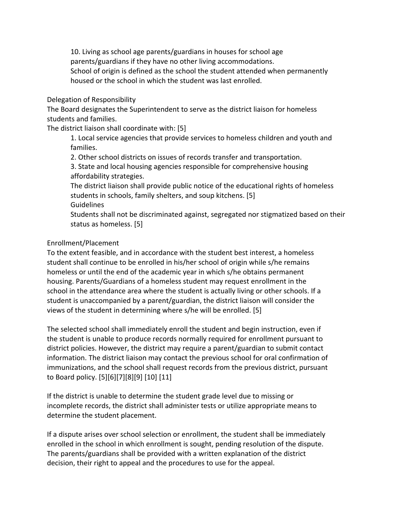10. Living as school age parents/guardians in houses for school age parents/guardians if they have no other living accommodations. School of origin is defined as the school the student attended when permanently housed or the school in which the student was last enrolled.

#### Delegation of Responsibility

The Board designates the Superintendent to serve as the district liaison for homeless students and families.

The district liaison shall coordinate with: [5]

1. Local service agencies that provide services to homeless children and youth and families.

2. Other school districts on issues of records transfer and transportation.

3. State and local housing agencies responsible for comprehensive housing affordability strategies.

The district liaison shall provide public notice of the educational rights of homeless students in schools, family shelters, and soup kitchens. [5] Guidelines

Students shall not be discriminated against, segregated nor stigmatized based on their status as homeless. [5]

#### Enrollment/Placement

To the extent feasible, and in accordance with the student best interest, a homeless student shall continue to be enrolled in his/her school of origin while s/he remains homeless or until the end of the academic year in which s/he obtains permanent housing. Parents/Guardians of a homeless student may request enrollment in the school in the attendance area where the student is actually living or other schools. If a student is unaccompanied by a parent/guardian, the district liaison will consider the views of the student in determining where s/he will be enrolled. [5]

The selected school shall immediately enroll the student and begin instruction, even if the student is unable to produce records normally required for enrollment pursuant to district policies. However, the district may require a parent/guardian to submit contact information. The district liaison may contact the previous school for oral confirmation of immunizations, and the school shall request records from the previous district, pursuant to Board policy. [5][6][7][8][9] [10] [11]

If the district is unable to determine the student grade level due to missing or incomplete records, the district shall administer tests or utilize appropriate means to determine the student placement.

If a dispute arises over school selection or enrollment, the student shall be immediately enrolled in the school in which enrollment is sought, pending resolution of the dispute. The parents/guardians shall be provided with a written explanation of the district decision, their right to appeal and the procedures to use for the appeal.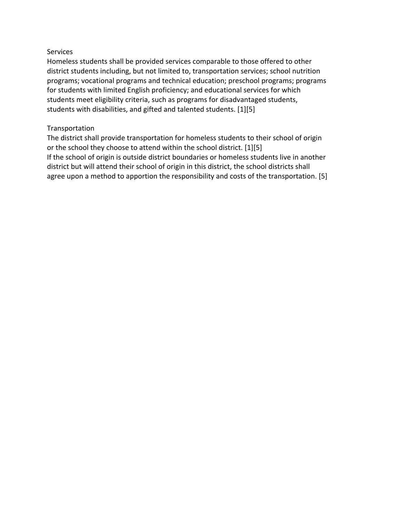#### **Services**

Homeless students shall be provided services comparable to those offered to other district students including, but not limited to, transportation services; school nutrition programs; vocational programs and technical education; preschool programs; programs for students with limited English proficiency; and educational services for which students meet eligibility criteria, such as programs for disadvantaged students, students with disabilities, and gifted and talented students. [1][5]

#### Transportation

The district shall provide transportation for homeless students to their school of origin or the school they choose to attend within the school district. [1][5] If the school of origin is outside district boundaries or homeless students live in another district but will attend their school of origin in this district, the school districts shall agree upon a method to apportion the responsibility and costs of the transportation. [5]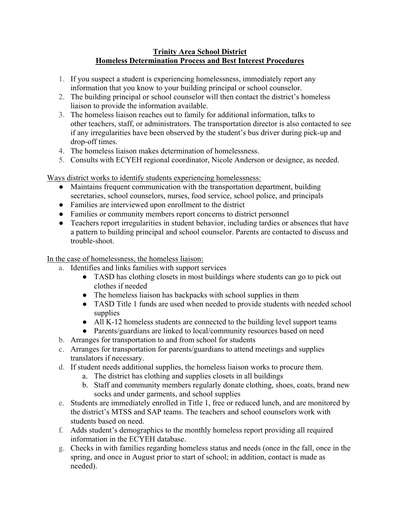#### **Trinity Area School District Homeless Determination Process and Best Interest Procedures**

- 1. If you suspect a student is experiencing homelessness, immediately report any information that you know to your building principal or school counselor.
- 2. The building principal or school counselor will then contact the district's homeless liaison to provide the information available.
- 3. The homeless liaison reaches out to family for additional information, talks to other teachers, staff, or administrators. The transportation director is also contacted to see if any irregularities have been observed by the student's bus driver during pick-up and drop-off times.
- 4. The homeless liaison makes determination of homelessness.
- 5. Consults with ECYEH regional coordinator, Nicole Anderson or designee, as needed.

Ways district works to identify students experiencing homelessness:

- Maintains frequent communication with the transportation department, building secretaries, school counselors, nurses, food service, school police, and principals
- Families are interviewed upon enrollment to the district
- Families or community members report concerns to district personnel
- Teachers report irregularities in student behavior, including tardies or absences that have a pattern to building principal and school counselor. Parents are contacted to discuss and trouble-shoot.

In the case of homelessness, the homeless liaison:

- a. Identifies and links families with support services
	- TASD has clothing closets in most buildings where students can go to pick out clothes if needed
	- The homeless liaison has backpacks with school supplies in them
	- TASD Title 1 funds are used when needed to provide students with needed school supplies
	- All K-12 homeless students are connected to the building level support teams
	- Parents/guardians are linked to local/community resources based on need
- b. Arranges for transportation to and from school for students
- c. Arranges for transportation for parents/guardians to attend meetings and supplies translators if necessary.
- d. If student needs additional supplies, the homeless liaison works to procure them.
	- a. The district has clothing and supplies closets in all buildings
	- b. Staff and community members regularly donate clothing, shoes, coats, brand new socks and under garments, and school supplies
- e. Students are immediately enrolled in Title 1, free or reduced lunch, and are monitored by the district's MTSS and SAP teams. The teachers and school counselors work with students based on need.
- f. Adds student's demographics to the monthly homeless report providing all required information in the ECYEH database.
- g. Checks in with families regarding homeless status and needs (once in the fall, once in the spring, and once in August prior to start of school; in addition, contact is made as needed).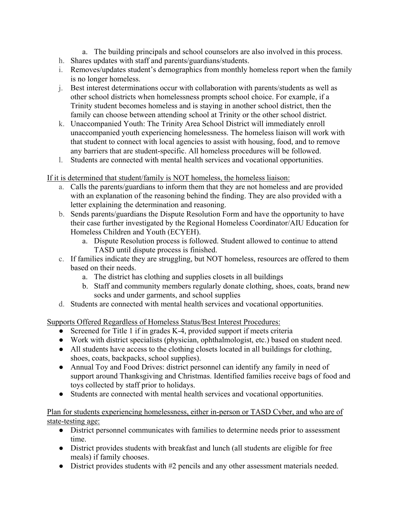- a. The building principals and school counselors are also involved in this process.
- h. Shares updates with staff and parents/guardians/students.
- i. Removes/updates student's demographics from monthly homeless report when the family is no longer homeless.
- j. Best interest determinations occur with collaboration with parents/students as well as other school districts when homelessness prompts school choice. For example, if a Trinity student becomes homeless and is staying in another school district, then the family can choose between attending school at Trinity or the other school district.
- k. Unaccompanied Youth: The Trinity Area School District will immediately enroll unaccompanied youth experiencing homelessness. The homeless liaison will work with that student to connect with local agencies to assist with housing, food, and to remove any barriers that are student-specific. All homeless procedures will be followed.
- l. Students are connected with mental health services and vocational opportunities.

## If it is determined that student/family is NOT homeless, the homeless liaison:

- a. Calls the parents/guardians to inform them that they are not homeless and are provided with an explanation of the reasoning behind the finding. They are also provided with a letter explaining the determination and reasoning.
- b. Sends parents/guardians the Dispute Resolution Form and have the opportunity to have their case further investigated by the Regional Homeless Coordinator/AIU Education for Homeless Children and Youth (ECYEH).
	- a. Dispute Resolution process is followed. Student allowed to continue to attend TASD until dispute process is finished.
- c. If families indicate they are struggling, but NOT homeless, resources are offered to them based on their needs.
	- a. The district has clothing and supplies closets in all buildings
	- b. Staff and community members regularly donate clothing, shoes, coats, brand new socks and under garments, and school supplies
- d. Students are connected with mental health services and vocational opportunities.

Supports Offered Regardless of Homeless Status/Best Interest Procedures:

- Screened for Title 1 if in grades K-4, provided support if meets criteria
- Work with district specialists (physician, ophthalmologist, etc.) based on student need.
- All students have access to the clothing closets located in all buildings for clothing, shoes, coats, backpacks, school supplies).
- Annual Toy and Food Drives: district personnel can identify any family in need of support around Thanksgiving and Christmas. Identified families receive bags of food and toys collected by staff prior to holidays.
- Students are connected with mental health services and vocational opportunities.

Plan for students experiencing homelessness, either in-person or TASD Cyber, and who are of state-testing age:

- District personnel communicates with families to determine needs prior to assessment time.
- District provides students with breakfast and lunch (all students are eligible for free meals) if family chooses.
- District provides students with #2 pencils and any other assessment materials needed.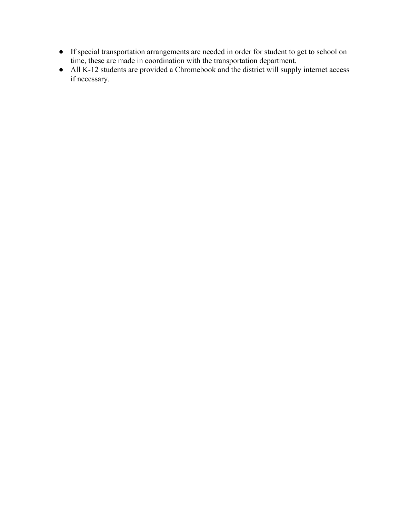- If special transportation arrangements are needed in order for student to get to school on time, these are made in coordination with the transportation department.
- All K-12 students are provided a Chromebook and the district will supply internet access if necessary.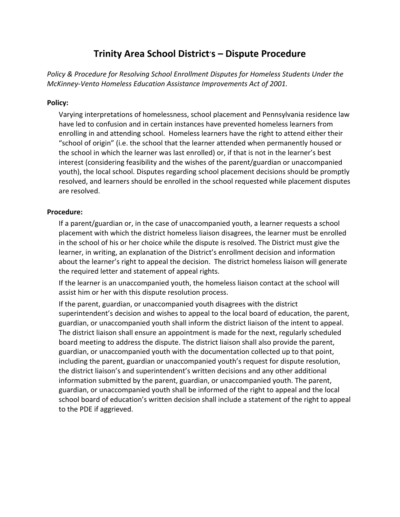## **Trinity Area School District**'**s – Dispute Procedure**

*Policy & Procedure for Resolving School Enrollment Disputes for Homeless Students Under the McKinney‐Vento Homeless Education Assistance Improvements Act of 2001.* 

### **Policy:**

Varying interpretations of homelessness, school placement and Pennsylvania residence law have led to confusion and in certain instances have prevented homeless learners from enrolling in and attending school. Homeless learners have the right to attend either their "school of origin" (i.e. the school that the learner attended when permanently housed or the school in which the learner was last enrolled) or, if that is not in the learner's best interest (considering feasibility and the wishes of the parent/guardian or unaccompanied youth), the local school. Disputes regarding school placement decisions should be promptly resolved, and learners should be enrolled in the school requested while placement disputes are resolved.

## **Procedure:**

If a parent/guardian or, in the case of unaccompanied youth, a learner requests a school placement with which the district homeless liaison disagrees, the learner must be enrolled in the school of his or her choice while the dispute is resolved. The District must give the learner, in writing, an explanation of the District's enrollment decision and information about the learner's right to appeal the decision. The district homeless liaison will generate the required letter and statement of appeal rights.

If the learner is an unaccompanied youth, the homeless liaison contact at the school will assist him or her with this dispute resolution process.

If the parent, guardian, or unaccompanied youth disagrees with the district superintendent's decision and wishes to appeal to the local board of education, the parent, guardian, or unaccompanied youth shall inform the district liaison of the intent to appeal. The district liaison shall ensure an appointment is made for the next, regularly scheduled board meeting to address the dispute. The district liaison shall also provide the parent, guardian, or unaccompanied youth with the documentation collected up to that point, including the parent, guardian or unaccompanied youth's request for dispute resolution, the district liaison's and superintendent's written decisions and any other additional information submitted by the parent, guardian, or unaccompanied youth. The parent, guardian, or unaccompanied youth shall be informed of the right to appeal and the local school board of education's written decision shall include a statement of the right to appeal to the PDE if aggrieved.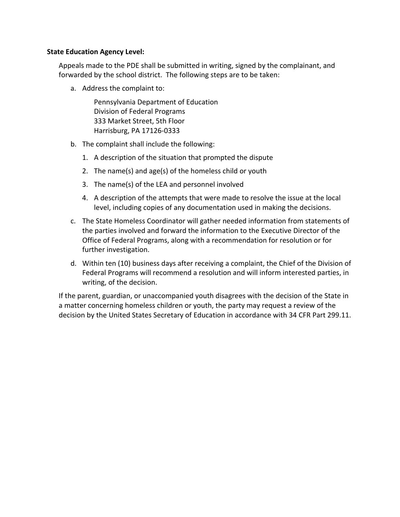#### **State Education Agency Level:**

Appeals made to the PDE shall be submitted in writing, signed by the complainant, and forwarded by the school district. The following steps are to be taken:

a. Address the complaint to:

Pennsylvania Department of Education Division of Federal Programs 333 Market Street, 5th Floor Harrisburg, PA 17126‐0333

- b. The complaint shall include the following:
	- 1. A description of the situation that prompted the dispute
	- 2. The name(s) and age(s) of the homeless child or youth
	- 3. The name(s) of the LEA and personnel involved
	- 4. A description of the attempts that were made to resolve the issue at the local level, including copies of any documentation used in making the decisions.
- c. The State Homeless Coordinator will gather needed information from statements of the parties involved and forward the information to the Executive Director of the Office of Federal Programs, along with a recommendation for resolution or for further investigation.
- d. Within ten (10) business days after receiving a complaint, the Chief of the Division of Federal Programs will recommend a resolution and will inform interested parties, in writing, of the decision.

If the parent, guardian, or unaccompanied youth disagrees with the decision of the State in a matter concerning homeless children or youth, the party may request a review of the decision by the United States Secretary of Education in accordance with 34 CFR Part 299.11.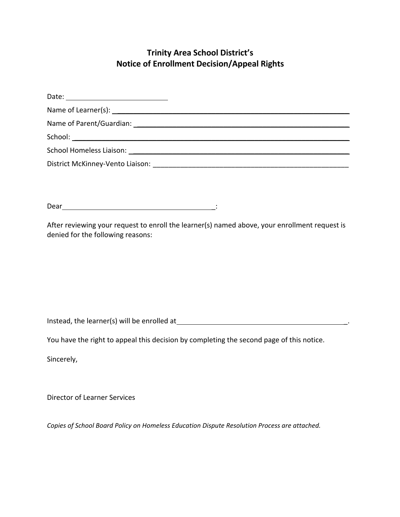## **Trinity Area School District's Notice of Enrollment Decision/Appeal Rights**

| Date: ___________________________________ |                                                                                                                                                                                                                                      |
|-------------------------------------------|--------------------------------------------------------------------------------------------------------------------------------------------------------------------------------------------------------------------------------------|
|                                           |                                                                                                                                                                                                                                      |
|                                           |                                                                                                                                                                                                                                      |
|                                           |                                                                                                                                                                                                                                      |
|                                           | School Homeless Liaison: <u>contract and contract and contract and contract and contract and contract and contract and contract and contract and contract and contract and contract and contract and contract and contract and c</u> |
|                                           |                                                                                                                                                                                                                                      |

Dear \_:

After reviewing your request to enroll the learner(s) named above, your enrollment request is denied for the following reasons:

Instead, the learner(s) will be enrolled at \_.

You have the right to appeal this decision by completing the second page of this notice.

Sincerely,

Director of Learner Services

*Copies of School Board Policy on Homeless Education Dispute Resolution Process are attached.*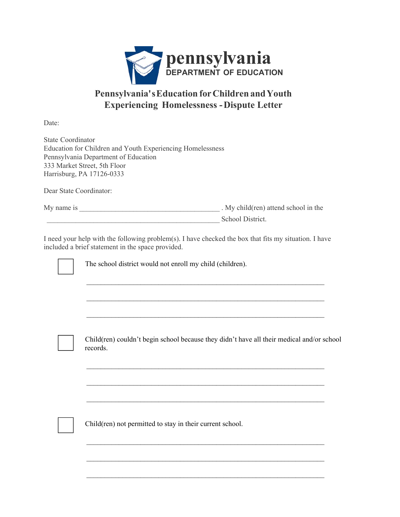

## **Pennsylvania's Education for Children and Youth Experiencing Homelessness - Dispute Letter**

Date:

State Coordinator Education for Children and Youth Experiencing Homelessness Pennsylvania Department of Education 333 Market Street, 5th Floor Harrisburg, PA 17126-0333

Dear State Coordinator:

| My name is | . My child(ren) attend school in the |
|------------|--------------------------------------|
|            | School District.                     |

I need your help with the following problem(s). I have checked the box that fits my situation. I have included a brief statement in the space provided.

The school district would not enroll my child (children).

Child(ren) couldn't begin school because they didn't have all their medical and/or school records.

 $\mathcal{L}_\text{max} = \frac{1}{2} \sum_{i=1}^n \mathcal{L}_\text{max}(\mathbf{z}_i - \mathbf{z}_i)$ 

 $\mathcal{L}_\text{max} = \frac{1}{2} \sum_{i=1}^n \mathcal{L}_\text{max}(\mathbf{z}_i - \mathbf{z}_i)$ 

\_\_\_\_\_\_\_\_\_\_\_\_\_\_\_\_\_\_\_\_\_\_\_\_\_\_\_\_\_\_\_\_\_\_\_\_\_\_\_\_\_\_\_\_\_\_\_\_\_\_\_\_\_\_\_\_\_\_\_\_\_\_\_\_\_\_

 $\mathcal{L}_\text{max} = \frac{1}{2} \sum_{i=1}^n \mathcal{L}_\text{max}(\mathbf{z}_i - \mathbf{z}_i)$ 

\_\_\_\_\_\_\_\_\_\_\_\_\_\_\_\_\_\_\_\_\_\_\_\_\_\_\_\_\_\_\_\_\_\_\_\_\_\_\_\_\_\_\_\_\_\_\_\_\_\_\_\_\_\_\_\_\_\_\_\_\_\_\_\_\_\_

 $\mathcal{L}_\text{max} = \frac{1}{2} \sum_{i=1}^n \mathcal{L}_\text{max}(\mathbf{z}_i - \mathbf{z}_i)$ 

 $\mathcal{L}_\text{max} = \frac{1}{2} \sum_{i=1}^n \mathcal{L}_\text{max}(\mathbf{z}_i - \mathbf{z}_i)$ 

 $\mathcal{L}_\text{max} = \frac{1}{2} \sum_{i=1}^n \mathcal{L}_\text{max}(\mathbf{z}_i - \mathbf{z}_i)$ 

Child(ren) not permitted to stay in their current school.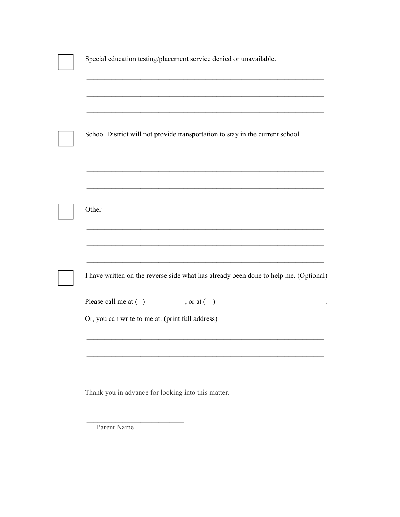| School District will not provide transportation to stay in the current school.<br>I have written on the reverse side what has already been done to help me. (Optional)<br>Or, you can write to me at: (print full address)<br>Thank you in advance for looking into this matter. | Special education testing/placement service denied or unavailable. |
|----------------------------------------------------------------------------------------------------------------------------------------------------------------------------------------------------------------------------------------------------------------------------------|--------------------------------------------------------------------|
|                                                                                                                                                                                                                                                                                  |                                                                    |
|                                                                                                                                                                                                                                                                                  |                                                                    |
|                                                                                                                                                                                                                                                                                  |                                                                    |
|                                                                                                                                                                                                                                                                                  |                                                                    |
|                                                                                                                                                                                                                                                                                  |                                                                    |
|                                                                                                                                                                                                                                                                                  |                                                                    |
|                                                                                                                                                                                                                                                                                  |                                                                    |
|                                                                                                                                                                                                                                                                                  |                                                                    |
|                                                                                                                                                                                                                                                                                  |                                                                    |
|                                                                                                                                                                                                                                                                                  |                                                                    |
|                                                                                                                                                                                                                                                                                  |                                                                    |

Parent Name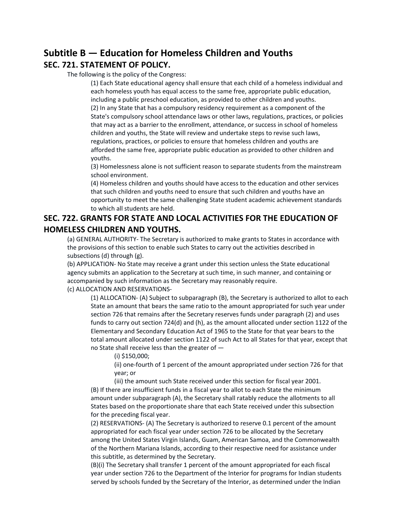## **Subtitle B — Education for Homeless Children and Youths SEC. 721. STATEMENT OF POLICY.**

The following is the policy of the Congress:

(1) Each State educational agency shall ensure that each child of a homeless individual and each homeless youth has equal access to the same free, appropriate public education, including a public preschool education, as provided to other children and youths. (2) In any State that has a compulsory residency requirement as a component of the State's compulsory school attendance laws or other laws, regulations, practices, or policies that may act as a barrier to the enrollment, attendance, or success in school of homeless children and youths, the State will review and undertake steps to revise such laws, regulations, practices, or policies to ensure that homeless children and youths are afforded the same free, appropriate public education as provided to other children and youths.

(3) Homelessness alone is not sufficient reason to separate students from the mainstream school environment.

(4) Homeless children and youths should have access to the education and other services that such children and youths need to ensure that such children and youths have an opportunity to meet the same challenging State student academic achievement standards to which all students are held.

## **SEC. 722. GRANTS FOR STATE AND LOCAL ACTIVITIES FOR THE EDUCATION OF HOMELESS CHILDREN AND YOUTHS.**

(a) GENERAL AUTHORITY‐ The Secretary is authorized to make grants to States in accordance with the provisions of this section to enable such States to carry out the activities described in subsections (d) through (g).

(b) APPLICATION‐ No State may receive a grant under this section unless the State educational agency submits an application to the Secretary at such time, in such manner, and containing or accompanied by such information as the Secretary may reasonably require.

#### (c) ALLOCATION AND RESERVATIONS‐

(1) ALLOCATION‐ (A) Subject to subparagraph (B), the Secretary is authorized to allot to each State an amount that bears the same ratio to the amount appropriated for such year under section 726 that remains after the Secretary reserves funds under paragraph (2) and uses funds to carry out section 724(d) and (h), as the amount allocated under section 1122 of the Elementary and Secondary Education Act of 1965 to the State for that year bears to the total amount allocated under section 1122 of such Act to all States for that year, except that no State shall receive less than the greater of —

(i) \$150,000;

(ii) one‐fourth of 1 percent of the amount appropriated under section 726 for that year; or

(iii) the amount such State received under this section for fiscal year 2001. (B) If there are insufficient funds in a fiscal year to allot to each State the minimum amount under subparagraph (A), the Secretary shall ratably reduce the allotments to all States based on the proportionate share that each State received under this subsection for the preceding fiscal year.

(2) RESERVATIONS‐ (A) The Secretary is authorized to reserve 0.1 percent of the amount appropriated for each fiscal year under section 726 to be allocated by the Secretary among the United States Virgin Islands, Guam, American Samoa, and the Commonwealth of the Northern Mariana Islands, according to their respective need for assistance under this subtitle, as determined by the Secretary.

(B)(i) The Secretary shall transfer 1 percent of the amount appropriated for each fiscal year under section 726 to the Department of the Interior for programs for Indian students served by schools funded by the Secretary of the Interior, as determined under the Indian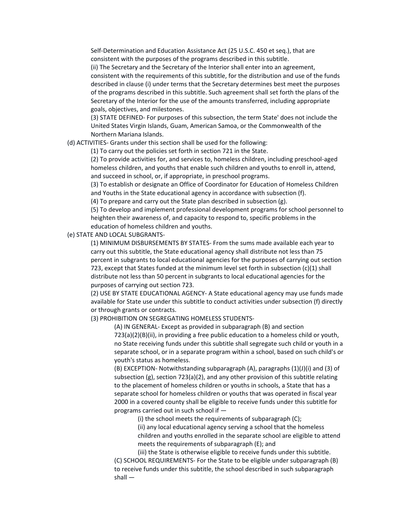Self‐Determination and Education Assistance Act (25 U.S.C. 450 et seq.), that are consistent with the purposes of the programs described in this subtitle.

(ii) The Secretary and the Secretary of the Interior shall enter into an agreement, consistent with the requirements of this subtitle, for the distribution and use of the funds described in clause (i) under terms that the Secretary determines best meet the purposes of the programs described in this subtitle. Such agreement shall set forth the plans of the Secretary of the Interior for the use of the amounts transferred, including appropriate goals, objectives, and milestones.

(3) STATE DEFINED‐ For purposes of this subsection, the term State' does not include the United States Virgin Islands, Guam, American Samoa, or the Commonwealth of the Northern Mariana Islands.

(d) ACTIVITIES‐ Grants under this section shall be used for the following:

(1) To carry out the policies set forth in section 721 in the State.

(2) To provide activities for, and services to, homeless children, including preschool‐aged homeless children, and youths that enable such children and youths to enroll in, attend, and succeed in school, or, if appropriate, in preschool programs.

(3) To establish or designate an Office of Coordinator for Education of Homeless Children and Youths in the State educational agency in accordance with subsection (f).

(4) To prepare and carry out the State plan described in subsection (g).

(5) To develop and implement professional development programs for school personnel to heighten their awareness of, and capacity to respond to, specific problems in the education of homeless children and youths.

(e) STATE AND LOCAL SUBGRANTS‐

(1) MINIMUM DISBURSEMENTS BY STATES‐ From the sums made available each year to carry out this subtitle, the State educational agency shall distribute not less than 75 percent in subgrants to local educational agencies for the purposes of carrying out section 723, except that States funded at the minimum level set forth in subsection  $(c)(1)$  shall distribute not less than 50 percent in subgrants to local educational agencies for the purposes of carrying out section 723.

(2) USE BY STATE EDUCATIONAL AGENCY‐ A State educational agency may use funds made available for State use under this subtitle to conduct activities under subsection (f) directly or through grants or contracts.

(3) PROHIBITION ON SEGREGATING HOMELESS STUDENTS‐

(A) IN GENERAL‐ Except as provided in subparagraph (B) and section 723(a)(2)(B)(ii), in providing a free public education to a homeless child or youth, no State receiving funds under this subtitle shall segregate such child or youth in a separate school, or in a separate program within a school, based on such child's or youth's status as homeless.

(B) EXCEPTION‐ Notwithstanding subparagraph (A), paragraphs (1)(J)(i) and (3) of subsection (g), section 723(a)(2), and any other provision of this subtitle relating to the placement of homeless children or youths in schools, a State that has a separate school for homeless children or youths that was operated in fiscal year 2000 in a covered county shall be eligible to receive funds under this subtitle for programs carried out in such school if —

(i) the school meets the requirements of subparagraph (C);

(ii) any local educational agency serving a school that the homeless children and youths enrolled in the separate school are eligible to attend meets the requirements of subparagraph (E); and

(iii) the State is otherwise eligible to receive funds under this subtitle. (C) SCHOOL REQUIREMENTS‐ For the State to be eligible under subparagraph (B) to receive funds under this subtitle, the school described in such subparagraph shall —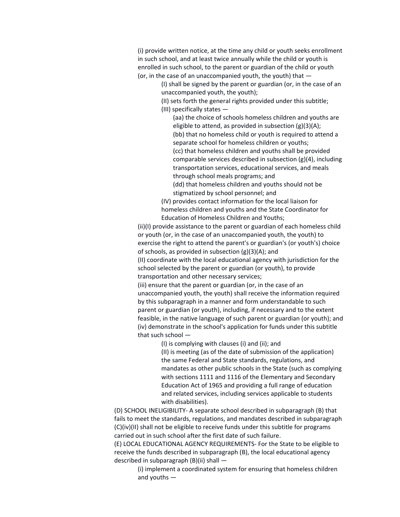(i) provide written notice, at the time any child or youth seeks enrollment in such school, and at least twice annually while the child or youth is enrolled in such school, to the parent or guardian of the child or youth (or, in the case of an unaccompanied youth, the youth) that —

> (I) shall be signed by the parent or guardian (or, in the case of an unaccompanied youth, the youth);

(II) sets forth the general rights provided under this subtitle; (III) specifically states —

(aa) the choice of schools homeless children and youths are eligible to attend, as provided in subsection (g)(3)(A); (bb) that no homeless child or youth is required to attend a separate school for homeless children or youths; (cc) that homeless children and youths shall be provided comparable services described in subsection (g)(4), including transportation services, educational services, and meals through school meals programs; and

(dd) that homeless children and youths should not be stigmatized by school personnel; and

(IV) provides contact information for the local liaison for homeless children and youths and the State Coordinator for Education of Homeless Children and Youths;

(ii)(I) provide assistance to the parent or guardian of each homeless child or youth (or, in the case of an unaccompanied youth, the youth) to exercise the right to attend the parent's or guardian's (or youth's) choice of schools, as provided in subsection (g)(3)(A); and

(II) coordinate with the local educational agency with jurisdiction for the school selected by the parent or guardian (or youth), to provide transportation and other necessary services;

(iii) ensure that the parent or guardian (or, in the case of an unaccompanied youth, the youth) shall receive the information required by this subparagraph in a manner and form understandable to such parent or guardian (or youth), including, if necessary and to the extent feasible, in the native language of such parent or guardian (or youth); and (iv) demonstrate in the school's application for funds under this subtitle that such school —

(I) is complying with clauses (i) and (ii); and

(II) is meeting (as of the date of submission of the application) the same Federal and State standards, regulations, and mandates as other public schools in the State (such as complying with sections 1111 and 1116 of the Elementary and Secondary Education Act of 1965 and providing a full range of education and related services, including services applicable to students with disabilities).

(D) SCHOOL INELIGIBILITY‐ A separate school described in subparagraph (B) that fails to meet the standards, regulations, and mandates described in subparagraph (C)(iv)(II) shall not be eligible to receive funds under this subtitle for programs carried out in such school after the first date of such failure.

(E) LOCAL EDUCATIONAL AGENCY REQUIREMENTS‐ For the State to be eligible to receive the funds described in subparagraph (B), the local educational agency described in subparagraph (B)(ii) shall —

(i) implement a coordinated system for ensuring that homeless children and youths —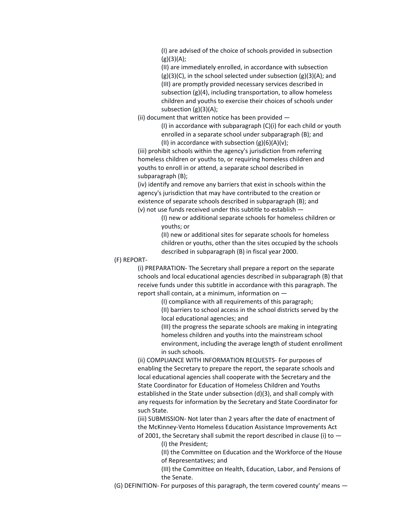(I) are advised of the choice of schools provided in subsection  $(g)(3)(A);$ 

(II) are immediately enrolled, in accordance with subsection  $(g)(3)(C)$ , in the school selected under subsection  $(g)(3)(A)$ ; and (III) are promptly provided necessary services described in subsection (g)(4), including transportation, to allow homeless children and youths to exercise their choices of schools under subsection (g)(3)(A);

(ii) document that written notice has been provided —

(I) in accordance with subparagraph (C)(i) for each child or youth enrolled in a separate school under subparagraph (B); and (II) in accordance with subsection  $(g)(6)(A)(v)$ ;

(iii) prohibit schools within the agency's jurisdiction from referring homeless children or youths to, or requiring homeless children and youths to enroll in or attend, a separate school described in subparagraph (B);

(iv) identify and remove any barriers that exist in schools within the agency's jurisdiction that may have contributed to the creation or existence of separate schools described in subparagraph (B); and (v) not use funds received under this subtitle to establish —

> (I) new or additional separate schools for homeless children or youths; or

(II) new or additional sites for separate schools for homeless children or youths, other than the sites occupied by the schools described in subparagraph (B) in fiscal year 2000.

(F) REPORT‐

(i) PREPARATION‐ The Secretary shall prepare a report on the separate schools and local educational agencies described in subparagraph (B) that receive funds under this subtitle in accordance with this paragraph. The report shall contain, at a minimum, information on —

(I) compliance with all requirements of this paragraph;

(II) barriers to school access in the school districts served by the local educational agencies; and

(III) the progress the separate schools are making in integrating homeless children and youths into the mainstream school environment, including the average length of student enrollment in such schools.

(ii) COMPLIANCE WITH INFORMATION REQUESTS‐ For purposes of enabling the Secretary to prepare the report, the separate schools and local educational agencies shall cooperate with the Secretary and the State Coordinator for Education of Homeless Children and Youths established in the State under subsection (d)(3), and shall comply with any requests for information by the Secretary and State Coordinator for such State.

(iii) SUBMISSION‐ Not later than 2 years after the date of enactment of the McKinney‐Vento Homeless Education Assistance Improvements Act of 2001, the Secretary shall submit the report described in clause (i) to  $-$ 

(I) the President;

(II) the Committee on Education and the Workforce of the House of Representatives; and

(III) the Committee on Health, Education, Labor, and Pensions of the Senate.

(G) DEFINITION‐ For purposes of this paragraph, the term covered county' means —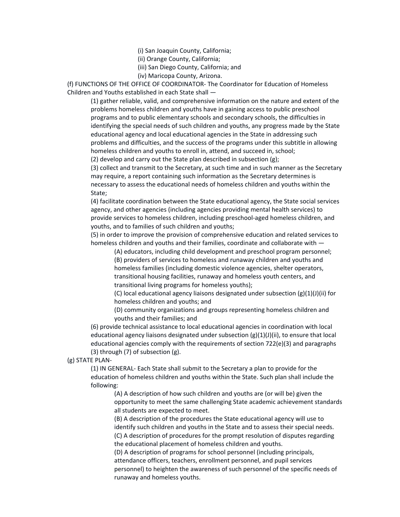(i) San Joaquin County, California;

(ii) Orange County, California;

(iii) San Diego County, California; and

(iv) Maricopa County, Arizona.

(f) FUNCTIONS OF THE OFFICE OF COORDINATOR‐ The Coordinator for Education of Homeless Children and Youths established in each State shall —

(1) gather reliable, valid, and comprehensive information on the nature and extent of the problems homeless children and youths have in gaining access to public preschool programs and to public elementary schools and secondary schools, the difficulties in identifying the special needs of such children and youths, any progress made by the State educational agency and local educational agencies in the State in addressing such problems and difficulties, and the success of the programs under this subtitle in allowing homeless children and youths to enroll in, attend, and succeed in, school;

(2) develop and carry out the State plan described in subsection (g);

(3) collect and transmit to the Secretary, at such time and in such manner as the Secretary may require, a report containing such information as the Secretary determines is necessary to assess the educational needs of homeless children and youths within the State;

(4) facilitate coordination between the State educational agency, the State social services agency, and other agencies (including agencies providing mental health services) to provide services to homeless children, including preschool-aged homeless children, and youths, and to families of such children and youths;

(5) in order to improve the provision of comprehensive education and related services to homeless children and youths and their families, coordinate and collaborate with —

(A) educators, including child development and preschool program personnel; (B) providers of services to homeless and runaway children and youths and homeless families (including domestic violence agencies, shelter operators, transitional housing facilities, runaway and homeless youth centers, and transitional living programs for homeless youths);

(C) local educational agency liaisons designated under subsection  $(g)(1)(J)(ii)$  for homeless children and youths; and

(D) community organizations and groups representing homeless children and youths and their families; and

(6) provide technical assistance to local educational agencies in coordination with local educational agency liaisons designated under subsection  $(g)(1)(J)(ii)$ , to ensure that local educational agencies comply with the requirements of section 722(e)(3) and paragraphs (3) through (7) of subsection (g).

(g) STATE PLAN‐

(1) IN GENERAL‐ Each State shall submit to the Secretary a plan to provide for the education of homeless children and youths within the State. Such plan shall include the following:

(A) A description of how such children and youths are (or will be) given the opportunity to meet the same challenging State academic achievement standards all students are expected to meet.

(B) A description of the procedures the State educational agency will use to identify such children and youths in the State and to assess their special needs. (C) A description of procedures for the prompt resolution of disputes regarding the educational placement of homeless children and youths.

(D) A description of programs for school personnel (including principals, attendance officers, teachers, enrollment personnel, and pupil services personnel) to heighten the awareness of such personnel of the specific needs of runaway and homeless youths.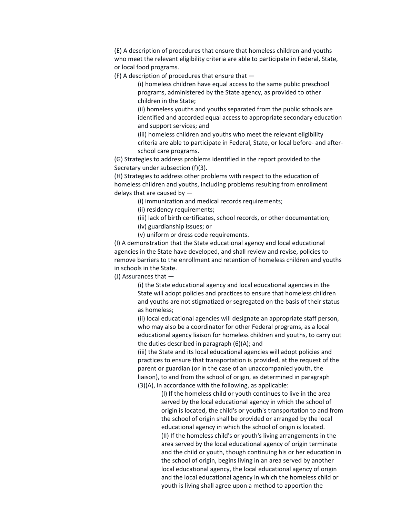(E) A description of procedures that ensure that homeless children and youths who meet the relevant eligibility criteria are able to participate in Federal, State, or local food programs.

 $(F)$  A description of procedures that ensure that  $-$ 

(i) homeless children have equal access to the same public preschool programs, administered by the State agency, as provided to other children in the State;

(ii) homeless youths and youths separated from the public schools are identified and accorded equal access to appropriate secondary education and support services; and

(iii) homeless children and youths who meet the relevant eligibility criteria are able to participate in Federal, State, or local before‐ and after‐ school care programs.

(G) Strategies to address problems identified in the report provided to the Secretary under subsection (f)(3).

(H) Strategies to address other problems with respect to the education of homeless children and youths, including problems resulting from enrollment delays that are caused by —

(i) immunization and medical records requirements;

(ii) residency requirements;

(iii) lack of birth certificates, school records, or other documentation;

(iv) guardianship issues; or

(v) uniform or dress code requirements.

(I) A demonstration that the State educational agency and local educational agencies in the State have developed, and shall review and revise, policies to remove barriers to the enrollment and retention of homeless children and youths in schools in the State.

(J) Assurances that —

(i) the State educational agency and local educational agencies in the State will adopt policies and practices to ensure that homeless children and youths are not stigmatized or segregated on the basis of their status as homeless;

(ii) local educational agencies will designate an appropriate staff person, who may also be a coordinator for other Federal programs, as a local educational agency liaison for homeless children and youths, to carry out the duties described in paragraph (6)(A); and

(iii) the State and its local educational agencies will adopt policies and practices to ensure that transportation is provided, at the request of the parent or guardian (or in the case of an unaccompanied youth, the liaison), to and from the school of origin, as determined in paragraph (3)(A), in accordance with the following, as applicable:

> (I) If the homeless child or youth continues to live in the area served by the local educational agency in which the school of origin is located, the child's or youth's transportation to and from the school of origin shall be provided or arranged by the local educational agency in which the school of origin is located. (II) If the homeless child's or youth's living arrangements in the area served by the local educational agency of origin terminate and the child or youth, though continuing his or her education in the school of origin, begins living in an area served by another local educational agency, the local educational agency of origin and the local educational agency in which the homeless child or youth is living shall agree upon a method to apportion the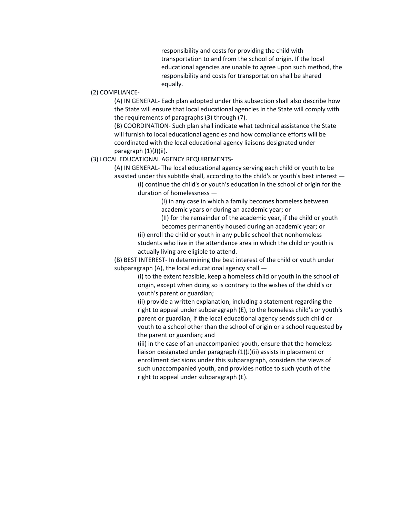responsibility and costs for providing the child with transportation to and from the school of origin. If the local educational agencies are unable to agree upon such method, the responsibility and costs for transportation shall be shared equally.

(2) COMPLIANCE‐

(A) IN GENERAL‐ Each plan adopted under this subsection shall also describe how the State will ensure that local educational agencies in the State will comply with the requirements of paragraphs (3) through (7).

(B) COORDINATION‐ Such plan shall indicate what technical assistance the State will furnish to local educational agencies and how compliance efforts will be coordinated with the local educational agency liaisons designated under paragraph (1)(J)(ii).

#### (3) LOCAL EDUCATIONAL AGENCY REQUIREMENTS‐

(A) IN GENERAL‐ The local educational agency serving each child or youth to be assisted under this subtitle shall, according to the child's or youth's best interest -

(i) continue the child's or youth's education in the school of origin for the duration of homelessness —

> (I) in any case in which a family becomes homeless between academic years or during an academic year; or

(II) for the remainder of the academic year, if the child or youth becomes permanently housed during an academic year; or

(ii) enroll the child or youth in any public school that nonhomeless students who live in the attendance area in which the child or youth is actually living are eligible to attend.

(B) BEST INTEREST‐ In determining the best interest of the child or youth under subparagraph (A), the local educational agency shall —

> (i) to the extent feasible, keep a homeless child or youth in the school of origin, except when doing so is contrary to the wishes of the child's or youth's parent or guardian;

(ii) provide a written explanation, including a statement regarding the right to appeal under subparagraph (E), to the homeless child's or youth's parent or guardian, if the local educational agency sends such child or youth to a school other than the school of origin or a school requested by the parent or guardian; and

(iii) in the case of an unaccompanied youth, ensure that the homeless liaison designated under paragraph (1)(J)(ii) assists in placement or enrollment decisions under this subparagraph, considers the views of such unaccompanied youth, and provides notice to such youth of the right to appeal under subparagraph (E).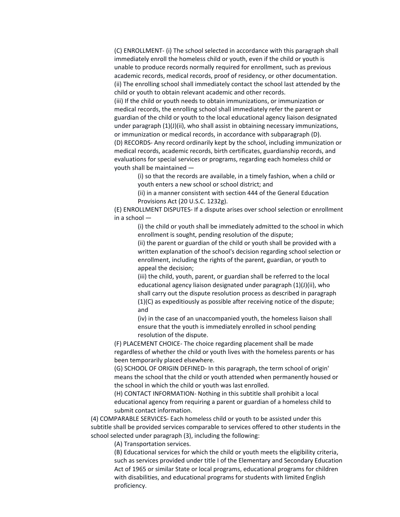(C) ENROLLMENT‐ (i) The school selected in accordance with this paragraph shall immediately enroll the homeless child or youth, even if the child or youth is unable to produce records normally required for enrollment, such as previous academic records, medical records, proof of residency, or other documentation. (ii) The enrolling school shall immediately contact the school last attended by the child or youth to obtain relevant academic and other records.

(iii) If the child or youth needs to obtain immunizations, or immunization or medical records, the enrolling school shall immediately refer the parent or guardian of the child or youth to the local educational agency liaison designated under paragraph (1)(J)(ii), who shall assist in obtaining necessary immunizations, or immunization or medical records, in accordance with subparagraph (D). (D) RECORDS‐ Any record ordinarily kept by the school, including immunization or medical records, academic records, birth certificates, guardianship records, and evaluations for special services or programs, regarding each homeless child or youth shall be maintained —

> (i) so that the records are available, in a timely fashion, when a child or youth enters a new school or school district; and

(ii) in a manner consistent with section 444 of the General Education Provisions Act (20 U.S.C. 1232g).

(E) ENROLLMENT DISPUTES‐ If a dispute arises over school selection or enrollment in a school —

> (i) the child or youth shall be immediately admitted to the school in which enrollment is sought, pending resolution of the dispute;

> (ii) the parent or guardian of the child or youth shall be provided with a written explanation of the school's decision regarding school selection or enrollment, including the rights of the parent, guardian, or youth to appeal the decision;

(iii) the child, youth, parent, or guardian shall be referred to the local educational agency liaison designated under paragraph (1)(J)(ii), who shall carry out the dispute resolution process as described in paragraph (1)(C) as expeditiously as possible after receiving notice of the dispute; and

(iv) in the case of an unaccompanied youth, the homeless liaison shall ensure that the youth is immediately enrolled in school pending resolution of the dispute.

(F) PLACEMENT CHOICE‐ The choice regarding placement shall be made regardless of whether the child or youth lives with the homeless parents or has been temporarily placed elsewhere.

(G) SCHOOL OF ORIGIN DEFINED‐ In this paragraph, the term school of origin' means the school that the child or youth attended when permanently housed or the school in which the child or youth was last enrolled.

(H) CONTACT INFORMATION‐ Nothing in this subtitle shall prohibit a local educational agency from requiring a parent or guardian of a homeless child to submit contact information.

(4) COMPARABLE SERVICES‐ Each homeless child or youth to be assisted under this subtitle shall be provided services comparable to services offered to other students in the school selected under paragraph (3), including the following:

(A) Transportation services.

(B) Educational services for which the child or youth meets the eligibility criteria, such as services provided under title I of the Elementary and Secondary Education Act of 1965 or similar State or local programs, educational programs for children with disabilities, and educational programs for students with limited English proficiency.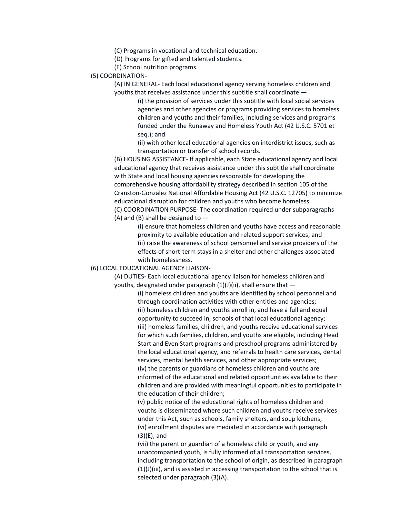- (C) Programs in vocational and technical education.
- (D) Programs for gifted and talented students.
- (E) School nutrition programs.

#### (5) COORDINATION‐

(A) IN GENERAL‐ Each local educational agency serving homeless children and youths that receives assistance under this subtitle shall coordinate —

> (i) the provision of services under this subtitle with local social services agencies and other agencies or programs providing services to homeless children and youths and their families, including services and programs funded under the Runaway and Homeless Youth Act (42 U.S.C. 5701 et seq.); and

(ii) with other local educational agencies on interdistrict issues, such as transportation or transfer of school records.

(B) HOUSING ASSISTANCE‐ If applicable, each State educational agency and local educational agency that receives assistance under this subtitle shall coordinate with State and local housing agencies responsible for developing the comprehensive housing affordability strategy described in section 105 of the Cranston‐Gonzalez National Affordable Housing Act (42 U.S.C. 12705) to minimize educational disruption for children and youths who become homeless. (C) COORDINATION PURPOSE‐ The coordination required under subparagraphs

(A) and (B) shall be designed to  $-$ 

(i) ensure that homeless children and youths have access and reasonable proximity to available education and related support services; and (ii) raise the awareness of school personnel and service providers of the effects of short‐term stays in a shelter and other challenges associated with homelessness.

#### (6) LOCAL EDUCATIONAL AGENCY LIAISON‐

(A) DUTIES‐ Each local educational agency liaison for homeless children and youths, designated under paragraph  $(1)(J)(ii)$ , shall ensure that  $-$ 

> (i) homeless children and youths are identified by school personnel and through coordination activities with other entities and agencies; (ii) homeless children and youths enroll in, and have a full and equal opportunity to succeed in, schools of that local educational agency; (iii) homeless families, children, and youths receive educational services for which such families, children, and youths are eligible, including Head Start and Even Start programs and preschool programs administered by the local educational agency, and referrals to health care services, dental services, mental health services, and other appropriate services; (iv) the parents or guardians of homeless children and youths are informed of the educational and related opportunities available to their children and are provided with meaningful opportunities to participate in the education of their children;

(v) public notice of the educational rights of homeless children and youths is disseminated where such children and youths receive services under this Act, such as schools, family shelters, and soup kitchens; (vi) enrollment disputes are mediated in accordance with paragraph (3)(E); and

(vii) the parent or guardian of a homeless child or youth, and any unaccompanied youth, is fully informed of all transportation services, including transportation to the school of origin, as described in paragraph (1)(J)(iii), and is assisted in accessing transportation to the school that is selected under paragraph (3)(A).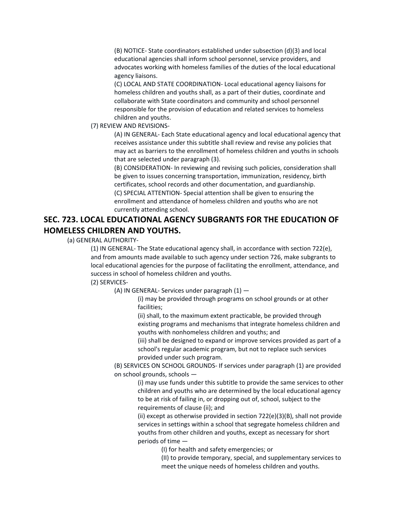(B) NOTICE‐ State coordinators established under subsection (d)(3) and local educational agencies shall inform school personnel, service providers, and advocates working with homeless families of the duties of the local educational agency liaisons.

(C) LOCAL AND STATE COORDINATION‐ Local educational agency liaisons for homeless children and youths shall, as a part of their duties, coordinate and collaborate with State coordinators and community and school personnel responsible for the provision of education and related services to homeless children and youths.

#### (7) REVIEW AND REVISIONS‐

(A) IN GENERAL‐ Each State educational agency and local educational agency that receives assistance under this subtitle shall review and revise any policies that may act as barriers to the enrollment of homeless children and youths in schools that are selected under paragraph (3).

(B) CONSIDERATION‐ In reviewing and revising such policies, consideration shall be given to issues concerning transportation, immunization, residency, birth certificates, school records and other documentation, and guardianship. (C) SPECIAL ATTENTION‐ Special attention shall be given to ensuring the enrollment and attendance of homeless children and youths who are not currently attending school.

## **SEC. 723. LOCAL EDUCATIONAL AGENCY SUBGRANTS FOR THE EDUCATION OF HOMELESS CHILDREN AND YOUTHS.**

(a) GENERAL AUTHORITY‐

(1) IN GENERAL‐ The State educational agency shall, in accordance with section 722(e), and from amounts made available to such agency under section 726, make subgrants to local educational agencies for the purpose of facilitating the enrollment, attendance, and success in school of homeless children and youths.

(2) SERVICES‐

(A) IN GENERAL- Services under paragraph  $(1)$  -

(i) may be provided through programs on school grounds or at other facilities;

(ii) shall, to the maximum extent practicable, be provided through existing programs and mechanisms that integrate homeless children and youths with nonhomeless children and youths; and

(iii) shall be designed to expand or improve services provided as part of a school's regular academic program, but not to replace such services provided under such program.

(B) SERVICES ON SCHOOL GROUNDS‐ If services under paragraph (1) are provided on school grounds, schools —

(i) may use funds under this subtitle to provide the same services to other children and youths who are determined by the local educational agency to be at risk of failing in, or dropping out of, school, subject to the requirements of clause (ii); and

(ii) except as otherwise provided in section 722(e)(3)(B), shall not provide services in settings within a school that segregate homeless children and youths from other children and youths, except as necessary for short periods of time —

(I) for health and safety emergencies; or

(II) to provide temporary, special, and supplementary services to meet the unique needs of homeless children and youths.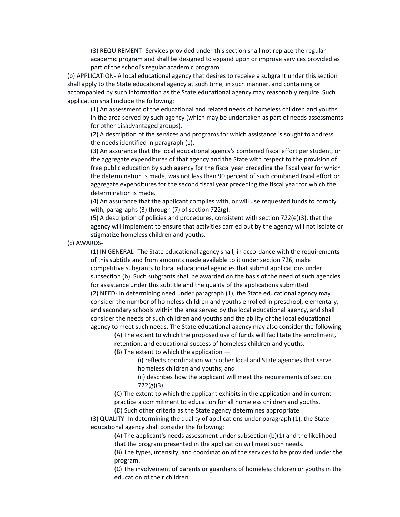(3) REQUIREMENT‐ Services provided under this section shall not replace the regular academic program and shall be designed to expand upon or improve services provided as part of the school's regular academic program.

(b) APPLICATION‐ A local educational agency that desires to receive a subgrant under this section shall apply to the State educational agency at such time, in such manner, and containing or accompanied by such information as the State educational agency may reasonably require. Such application shall include the following:

(1) An assessment of the educational and related needs of homeless children and youths in the area served by such agency (which may be undertaken as part of needs assessments for other disadvantaged groups).

(2) A description of the services and programs for which assistance is sought to address the needs identified in paragraph (1).

(3) An assurance that the local educational agency's combined fiscal effort per student, or the aggregate expenditures of that agency and the State with respect to the provision of free public education by such agency for the fiscal year preceding the fiscal year for which the determination is made, was not less than 90 percent of such combined fiscal effort or aggregate expenditures for the second fiscal year preceding the fiscal year for which the determination is made.

(4) An assurance that the applicant complies with, or will use requested funds to comply with, paragraphs (3) through (7) of section 722(g).

(5) A description of policies and procedures, consistent with section 722(e)(3), that the agency will implement to ensure that activities carried out by the agency will not isolate or stigmatize homeless children and youths.

(c) AWARDS‐

(1) IN GENERAL‐ The State educational agency shall, in accordance with the requirements of this subtitle and from amounts made available to it under section 726, make competitive subgrants to local educational agencies that submit applications under subsection (b). Such subgrants shall be awarded on the basis of the need of such agencies for assistance under this subtitle and the quality of the applications submitted.

(2) NEED‐ In determining need under paragraph (1), the State educational agency may consider the number of homeless children and youths enrolled in preschool, elementary, and secondary schools within the area served by the local educational agency, and shall consider the needs of such children and youths and the ability of the local educational agency to meet such needs. The State educational agency may also consider the following:

(A) The extent to which the proposed use of funds will facilitate the enrollment,

retention, and educational success of homeless children and youths.

(B) The extent to which the application —

(i) reflects coordination with other local and State agencies that serve homeless children and youths; and

(ii) describes how the applicant will meet the requirements of section 722(g)(3).

(C) The extent to which the applicant exhibits in the application and in current practice a commitment to education for all homeless children and youths.

(D) Such other criteria as the State agency determines appropriate.

(3) QUALITY‐ In determining the quality of applications under paragraph (1), the State educational agency shall consider the following:

(A) The applicant's needs assessment under subsection (b)(1) and the likelihood that the program presented in the application will meet such needs.

(B) The types, intensity, and coordination of the services to be provided under the program.

(C) The involvement of parents or guardians of homeless children or youths in the education of their children.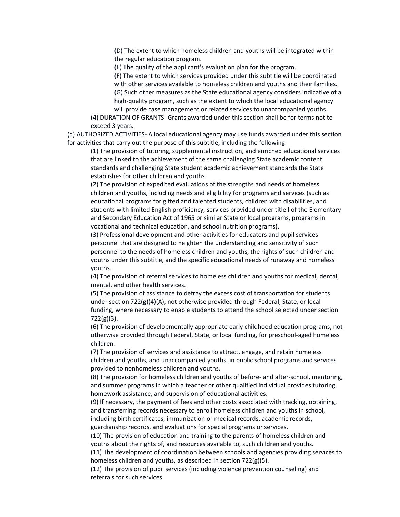(D) The extent to which homeless children and youths will be integrated within the regular education program.

(E) The quality of the applicant's evaluation plan for the program.

(F) The extent to which services provided under this subtitle will be coordinated with other services available to homeless children and youths and their families. (G) Such other measures as the State educational agency considers indicative of a high-quality program, such as the extent to which the local educational agency will provide case management or related services to unaccompanied youths.

(4) DURATION OF GRANTS‐ Grants awarded under this section shall be for terms not to exceed 3 years.

(d) AUTHORIZED ACTIVITIES‐ A local educational agency may use funds awarded under this section for activities that carry out the purpose of this subtitle, including the following:

(1) The provision of tutoring, supplemental instruction, and enriched educational services that are linked to the achievement of the same challenging State academic content standards and challenging State student academic achievement standards the State establishes for other children and youths.

(2) The provision of expedited evaluations of the strengths and needs of homeless children and youths, including needs and eligibility for programs and services (such as educational programs for gifted and talented students, children with disabilities, and students with limited English proficiency, services provided under title I of the Elementary and Secondary Education Act of 1965 or similar State or local programs, programs in vocational and technical education, and school nutrition programs).

(3) Professional development and other activities for educators and pupil services personnel that are designed to heighten the understanding and sensitivity of such personnel to the needs of homeless children and youths, the rights of such children and youths under this subtitle, and the specific educational needs of runaway and homeless youths.

(4) The provision of referral services to homeless children and youths for medical, dental, mental, and other health services.

(5) The provision of assistance to defray the excess cost of transportation for students under section 722(g)(4)(A), not otherwise provided through Federal, State, or local funding, where necessary to enable students to attend the school selected under section 722(g)(3).

(6) The provision of developmentally appropriate early childhood education programs, not otherwise provided through Federal, State, or local funding, for preschool‐aged homeless children.

(7) The provision of services and assistance to attract, engage, and retain homeless children and youths, and unaccompanied youths, in public school programs and services provided to nonhomeless children and youths.

(8) The provision for homeless children and youths of before‐ and after‐school, mentoring, and summer programs in which a teacher or other qualified individual provides tutoring, homework assistance, and supervision of educational activities.

(9) If necessary, the payment of fees and other costs associated with tracking, obtaining, and transferring records necessary to enroll homeless children and youths in school, including birth certificates, immunization or medical records, academic records, guardianship records, and evaluations for special programs or services.

(10) The provision of education and training to the parents of homeless children and youths about the rights of, and resources available to, such children and youths.

(11) The development of coordination between schools and agencies providing services to homeless children and youths, as described in section 722(g)(5).

(12) The provision of pupil services (including violence prevention counseling) and referrals for such services.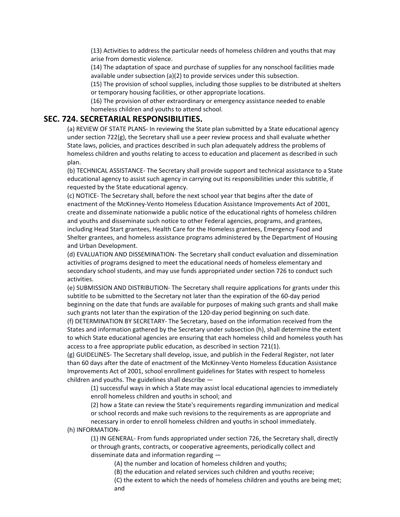(13) Activities to address the particular needs of homeless children and youths that may arise from domestic violence.

(14) The adaptation of space and purchase of supplies for any nonschool facilities made available under subsection (a)(2) to provide services under this subsection.

(15) The provision of school supplies, including those supplies to be distributed at shelters or temporary housing facilities, or other appropriate locations.

(16) The provision of other extraordinary or emergency assistance needed to enable homeless children and youths to attend school.

#### **SEC. 724. SECRETARIAL RESPONSIBILITIES.**

(a) REVIEW OF STATE PLANS‐ In reviewing the State plan submitted by a State educational agency under section 722(g), the Secretary shall use a peer review process and shall evaluate whether State laws, policies, and practices described in such plan adequately address the problems of homeless children and youths relating to access to education and placement as described in such plan.

(b) TECHNICAL ASSISTANCE‐ The Secretary shall provide support and technical assistance to a State educational agency to assist such agency in carrying out its responsibilities under this subtitle, if requested by the State educational agency.

(c) NOTICE‐ The Secretary shall, before the next school year that begins after the date of enactment of the McKinney‐Vento Homeless Education Assistance Improvements Act of 2001, create and disseminate nationwide a public notice of the educational rights of homeless children and youths and disseminate such notice to other Federal agencies, programs, and grantees, including Head Start grantees, Health Care for the Homeless grantees, Emergency Food and Shelter grantees, and homeless assistance programs administered by the Department of Housing and Urban Development.

(d) EVALUATION AND DISSEMINATION‐ The Secretary shall conduct evaluation and dissemination activities of programs designed to meet the educational needs of homeless elementary and secondary school students, and may use funds appropriated under section 726 to conduct such activities.

(e) SUBMISSION AND DISTRIBUTION‐ The Secretary shall require applications for grants under this subtitle to be submitted to the Secretary not later than the expiration of the 60‐day period beginning on the date that funds are available for purposes of making such grants and shall make such grants not later than the expiration of the 120-day period beginning on such date.

(f) DETERMINATION BY SECRETARY‐ The Secretary, based on the information received from the States and information gathered by the Secretary under subsection (h), shall determine the extent to which State educational agencies are ensuring that each homeless child and homeless youth has access to a free appropriate public education, as described in section 721(1).

(g) GUIDELINES‐ The Secretary shall develop, issue, and publish in the Federal Register, not later than 60 days after the date of enactment of the McKinney‐Vento Homeless Education Assistance Improvements Act of 2001, school enrollment guidelines for States with respect to homeless children and youths. The guidelines shall describe —

(1) successful ways in which a State may assist local educational agencies to immediately enroll homeless children and youths in school; and

(2) how a State can review the State's requirements regarding immunization and medical or school records and make such revisions to the requirements as are appropriate and necessary in order to enroll homeless children and youths in school immediately.

(h) INFORMATION‐

(1) IN GENERAL‐ From funds appropriated under section 726, the Secretary shall, directly or through grants, contracts, or cooperative agreements, periodically collect and disseminate data and information regarding —

(A) the number and location of homeless children and youths;

(B) the education and related services such children and youths receive;

(C) the extent to which the needs of homeless children and youths are being met; and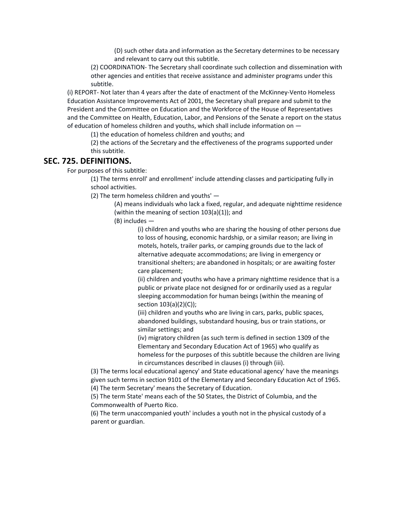(D) such other data and information as the Secretary determines to be necessary and relevant to carry out this subtitle.

(2) COORDINATION‐ The Secretary shall coordinate such collection and dissemination with other agencies and entities that receive assistance and administer programs under this subtitle.

(i) REPORT‐ Not later than 4 years after the date of enactment of the McKinney‐Vento Homeless Education Assistance Improvements Act of 2001, the Secretary shall prepare and submit to the President and the Committee on Education and the Workforce of the House of Representatives and the Committee on Health, Education, Labor, and Pensions of the Senate a report on the status of education of homeless children and youths, which shall include information on —

(1) the education of homeless children and youths; and

(2) the actions of the Secretary and the effectiveness of the programs supported under this subtitle.

#### **SEC. 725. DEFINITIONS.**

For purposes of this subtitle:

(1) The terms enroll' and enrollment' include attending classes and participating fully in school activities.

(2) The term homeless children and youths' —

(A) means individuals who lack a fixed, regular, and adequate nighttime residence (within the meaning of section 103(a)(1)); and

(B) includes —

(i) children and youths who are sharing the housing of other persons due to loss of housing, economic hardship, or a similar reason; are living in motels, hotels, trailer parks, or camping grounds due to the lack of alternative adequate accommodations; are living in emergency or transitional shelters; are abandoned in hospitals; or are awaiting foster care placement;

(ii) children and youths who have a primary nighttime residence that is a public or private place not designed for or ordinarily used as a regular sleeping accommodation for human beings (within the meaning of section 103(a)(2)(C));

(iii) children and youths who are living in cars, parks, public spaces, abandoned buildings, substandard housing, bus or train stations, or similar settings; and

(iv) migratory children (as such term is defined in section 1309 of the Elementary and Secondary Education Act of 1965) who qualify as homeless for the purposes of this subtitle because the children are living in circumstances described in clauses (i) through (iii).

(3) The terms local educational agency' and State educational agency' have the meanings given such terms in section 9101 of the Elementary and Secondary Education Act of 1965. (4) The term Secretary' means the Secretary of Education.

(5) The term State' means each of the 50 States, the District of Columbia, and the Commonwealth of Puerto Rico.

(6) The term unaccompanied youth' includes a youth not in the physical custody of a parent or guardian.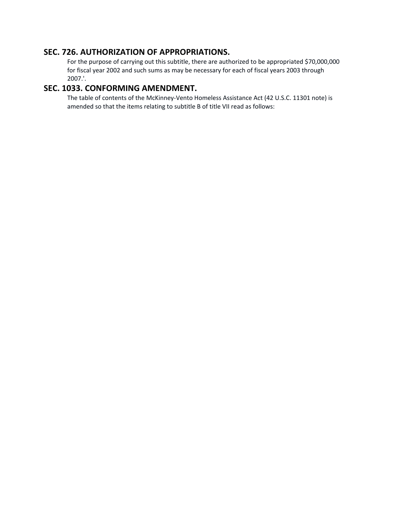### **SEC. 726. AUTHORIZATION OF APPROPRIATIONS.**

For the purpose of carrying out this subtitle, there are authorized to be appropriated \$70,000,000 for fiscal year 2002 and such sums as may be necessary for each of fiscal years 2003 through 2007.'.

#### **SEC. 1033. CONFORMING AMENDMENT.**

The table of contents of the McKinney‐Vento Homeless Assistance Act (42 U.S.C. 11301 note) is amended so that the items relating to subtitle B of title VII read as follows: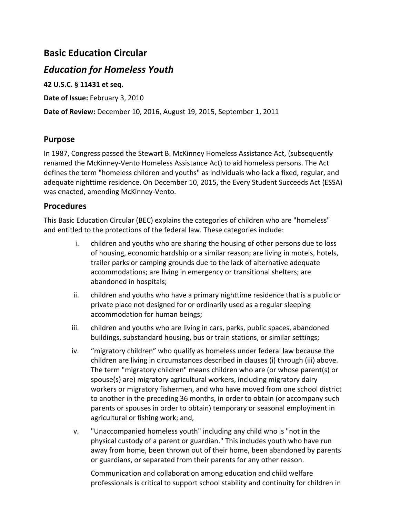## **Basic Education Circular**

## *Education for Homeless Youth*

**42 U.S.C. § 11431 et seq.**

**Date of Issue:** February 3, 2010

**Date of Review:** December 10, 2016, August 19, 2015, September 1, 2011

## **Purpose**

In 1987, Congress passed the Stewart B. McKinney Homeless Assistance Act, (subsequently renamed the McKinney‐Vento Homeless Assistance Act) to aid homeless persons. The Act defines the term "homeless children and youths" as individuals who lack a fixed, regular, and adequate nighttime residence. On December 10, 2015, the Every Student Succeeds Act (ESSA) was enacted, amending McKinney‐Vento.

## **Procedures**

This Basic Education Circular (BEC) explains the categories of children who are "homeless" and entitled to the protections of the federal law. These categories include:

- i. children and youths who are sharing the housing of other persons due to loss of housing, economic hardship or a similar reason; are living in motels, hotels, trailer parks or camping grounds due to the lack of alternative adequate accommodations; are living in emergency or transitional shelters; are abandoned in hospitals;
- ii. children and youths who have a primary nighttime residence that is a public or private place not designed for or ordinarily used as a regular sleeping accommodation for human beings;
- iii. children and youths who are living in cars, parks, public spaces, abandoned buildings, substandard housing, bus or train stations, or similar settings;
- iv. "migratory children" who qualify as homeless under federal law because the children are living in circumstances described in clauses (i) through (iii) above. The term "migratory children" means children who are (or whose parent(s) or spouse(s) are) migratory agricultural workers, including migratory dairy workers or migratory fishermen, and who have moved from one school district to another in the preceding 36 months, in order to obtain (or accompany such parents or spouses in order to obtain) temporary or seasonal employment in agricultural or fishing work; and,
- v. "Unaccompanied homeless youth" including any child who is "not in the physical custody of a parent or guardian." This includes youth who have run away from home, been thrown out of their home, been abandoned by parents or guardians, or separated from their parents for any other reason.

Communication and collaboration among education and child welfare professionals is critical to support school stability and continuity for children in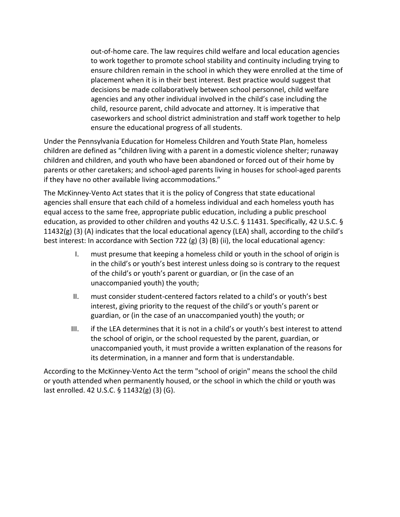out‐of‐home care. The law requires child welfare and local education agencies to work together to promote school stability and continuity including trying to ensure children remain in the school in which they were enrolled at the time of placement when it is in their best interest. Best practice would suggest that decisions be made collaboratively between school personnel, child welfare agencies and any other individual involved in the child's case including the child, resource parent, child advocate and attorney. It is imperative that caseworkers and school district administration and staff work together to help ensure the educational progress of all students.

Under the Pennsylvania Education for Homeless Children and Youth State Plan, homeless children are defined as "children living with a parent in a domestic violence shelter; runaway children and children, and youth who have been abandoned or forced out of their home by parents or other caretakers; and school‐aged parents living in houses for school‐aged parents if they have no other available living accommodations."

The McKinney‐Vento Act states that it is the policy of Congress that state educational agencies shall ensure that each child of a homeless individual and each homeless youth has equal access to the same free, appropriate public education, including a public preschool education, as provided to other children and youths 42 U.S.C. § 11431. Specifically, 42 U.S.C. § 11432(g) (3) (A) indicates that the local educational agency (LEA) shall, according to the child's best interest: In accordance with Section 722 (g) (3) (B) (ii), the local educational agency:

- I. must presume that keeping a homeless child or youth in the school of origin is in the child's or youth's best interest unless doing so is contrary to the request of the child's or youth's parent or guardian, or (in the case of an unaccompanied youth) the youth;
- II. must consider student‐centered factors related to a child's or youth's best interest, giving priority to the request of the child's or youth's parent or guardian, or (in the case of an unaccompanied youth) the youth; or
- III. if the LEA determines that it is not in a child's or youth's best interest to attend the school of origin, or the school requested by the parent, guardian, or unaccompanied youth, it must provide a written explanation of the reasons for its determination, in a manner and form that is understandable.

According to the McKinney‐Vento Act the term "school of origin" means the school the child or youth attended when permanently housed, or the school in which the child or youth was last enrolled. 42 U.S.C. § 11432(g) (3) (G).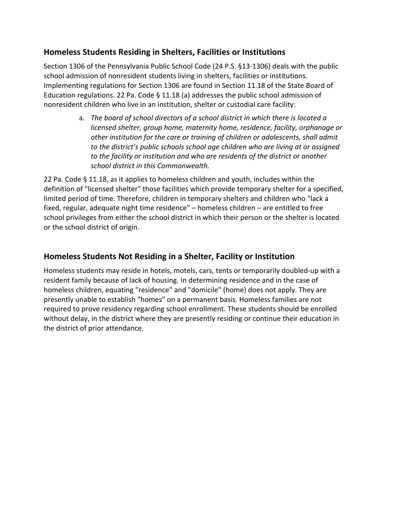## **Homeless Students Residing in Shelters, Facilities or Institutions**

Section 1306 of the Pennsylvania Public School Code (24 P.S. §13‐1306) deals with the public school admission of nonresident students living in shelters, facilities or institutions. Implementing regulations for Section 1306 are found in Section 11.18 of the State Board of Education regulations. 22 Pa. Code § 11.18 (a) addresses the public school admission of nonresident children who live in an institution, shelter or custodial care facility:

> a. *The board of school directors of a school district in which there is located a licensed shelter, group home, maternity home, residence, facility, orphanage or other institution for the care or training of children or adolescents, shall admit to the district's public schools school age children who are living at or assigned to the facility or institution and who are residents of the district or another school district in this Commonwealth.*

22 Pa. Code § 11.18, as it applies to homeless children and youth, includes within the definition of "licensed shelter" those facilities which provide temporary shelter for a specified, limited period of time. Therefore, children in temporary shelters and children who "lack a fixed, regular, adequate night time residence" – homeless children – are entitled to free school privileges from either the school district in which their person or the shelter is located or the school district of origin.

## **Homeless Students Not Residing in a Shelter, Facility or Institution**

Homeless students may reside in hotels, motels, cars, tents or temporarily doubled-up with a resident family because of lack of housing. In determining residence and in the case of homeless children, equating "residence" and "domicile" (home) does not apply. They are presently unable to establish "homes" on a permanent basis. Homeless families are not required to prove residency regarding school enrollment. These students should be enrolled without delay, in the district where they are presently residing or continue their education in the district of prior attendance.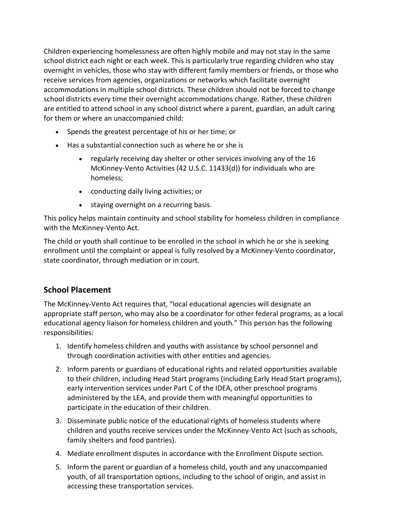Children experiencing homelessness are often highly mobile and may not stay in the same school district each night or each week. This is particularly true regarding children who stay overnight in vehicles, those who stay with different family members or friends, or those who receive services from agencies, organizations or networks which facilitate overnight accommodations in multiple school districts. These children should not be forced to change school districts every time their overnight accommodations change. Rather, these children are entitled to attend school in any school district where a parent, guardian, an adult caring for them or where an unaccompanied child:

- Spends the greatest percentage of his or her time; or
- Has a substantial connection such as where he or she is
	- regularly receiving day shelter or other services involving any of the 16 McKinney‐Vento Activities (42 U.S.C. 11433(d)) for individuals who are homeless;
	- conducting daily living activities; or
	- staying overnight on a recurring basis.

This policy helps maintain continuity and school stability for homeless children in compliance with the McKinney‐Vento Act.

The child or youth shall continue to be enrolled in the school in which he or she is seeking enrollment until the complaint or appeal is fully resolved by a McKinney‐Vento coordinator, state coordinator, through mediation or in court.

## **School Placement**

The McKinney‐Vento Act requires that, "local educational agencies will designate an appropriate staff person, who may also be a coordinator for other federal programs, as a local educational agency liaison for homeless children and youth." This person has the following responsibilities:

- 1. Identify homeless children and youths with assistance by school personnel and through coordination activities with other entities and agencies.
- 2. Inform parents or guardians of educational rights and related opportunities available to their children, including Head Start programs (including Early Head Start programs), early intervention services under Part C of the IDEA, other preschool programs administered by the LEA, and provide them with meaningful opportunities to participate in the education of their children.
- 3. Disseminate public notice of the educational rights of homeless students where children and youths receive services under the McKinney‐Vento Act (such as schools, family shelters and food pantries).
- 4. Mediate enrollment disputes in accordance with the Enrollment Dispute section.
- 5. Inform the parent or guardian of a homeless child, youth and any unaccompanied youth, of all transportation options, including to the school of origin, and assist in accessing these transportation services.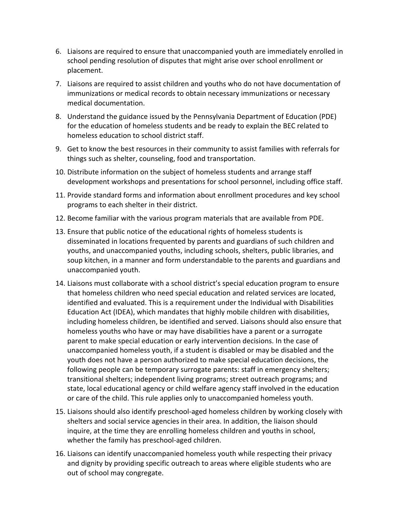- 6. Liaisons are required to ensure that unaccompanied youth are immediately enrolled in school pending resolution of disputes that might arise over school enrollment or placement.
- 7. Liaisons are required to assist children and youths who do not have documentation of immunizations or medical records to obtain necessary immunizations or necessary medical documentation.
- 8. Understand the guidance issued by the Pennsylvania Department of Education (PDE) for the education of homeless students and be ready to explain the BEC related to homeless education to school district staff.
- 9. Get to know the best resources in their community to assist families with referrals for things such as shelter, counseling, food and transportation.
- 10. Distribute information on the subject of homeless students and arrange staff development workshops and presentations for school personnel, including office staff.
- 11. Provide standard forms and information about enrollment procedures and key school programs to each shelter in their district.
- 12. Become familiar with the various program materials that are available from PDE.
- 13. Ensure that public notice of the educational rights of homeless students is disseminated in locations frequented by parents and guardians of such children and youths, and unaccompanied youths, including schools, shelters, public libraries, and soup kitchen, in a manner and form understandable to the parents and guardians and unaccompanied youth.
- 14. Liaisons must collaborate with a school district's special education program to ensure that homeless children who need special education and related services are located, identified and evaluated. This is a requirement under the Individual with Disabilities Education Act (IDEA), which mandates that highly mobile children with disabilities, including homeless children, be identified and served. Liaisons should also ensure that homeless youths who have or may have disabilities have a parent or a surrogate parent to make special education or early intervention decisions. In the case of unaccompanied homeless youth, if a student is disabled or may be disabled and the youth does not have a person authorized to make special education decisions, the following people can be temporary surrogate parents: staff in emergency shelters; transitional shelters; independent living programs; street outreach programs; and state, local educational agency or child welfare agency staff involved in the education or care of the child. This rule applies only to unaccompanied homeless youth.
- 15. Liaisons should also identify preschool-aged homeless children by working closely with shelters and social service agencies in their area. In addition, the liaison should inquire, at the time they are enrolling homeless children and youths in school, whether the family has preschool-aged children.
- 16. Liaisons can identify unaccompanied homeless youth while respecting their privacy and dignity by providing specific outreach to areas where eligible students who are out of school may congregate.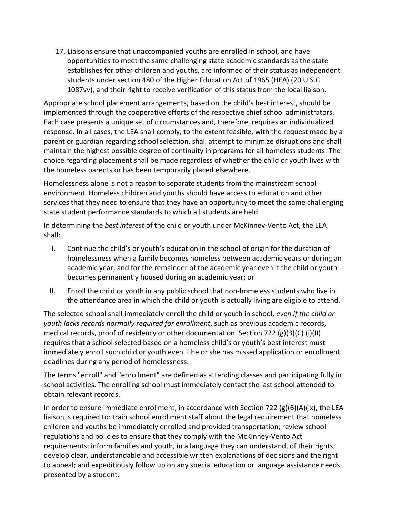17. Liaisons ensure that unaccompanied youths are enrolled in school, and have opportunities to meet the same challenging state academic standards as the state establishes for other children and youths, are informed of their status as independent students under section 480 of the Higher Education Act of 1965 (HEA) (20 U.S.C 1087vv), and their right to receive verification of this status from the local liaison.

Appropriate school placement arrangements, based on the child's best interest, should be implemented through the cooperative efforts of the respective chief school administrators. Each case presents a unique set of circumstances and, therefore, requires an individualized response. In all cases, the LEA shall comply, to the extent feasible, with the request made by a parent or guardian regarding school selection, shall attempt to minimize disruptions and shall maintain the highest possible degree of continuity in programs for all homeless students. The choice regarding placement shall be made regardless of whether the child or youth lives with the homeless parents or has been temporarily placed elsewhere.

Homelessness alone is not a reason to separate students from the mainstream school environment. Homeless children and youths should have access to education and other services that they need to ensure that they have an opportunity to meet the same challenging state student performance standards to which all students are held.

In determining the *best interest* of the child or youth under McKinney‐Vento Act, the LEA shall:

- I. Continue the child's or youth's education in the school of origin for the duration of homelessness when a family becomes homeless between academic years or during an academic year; and for the remainder of the academic year even if the child or youth becomes permanently housed during an academic year; or
- II. Enroll the child or youth in any public school that non‐homeless students who live in the attendance area in which the child or youth is actually living are eligible to attend.

The selected school shall immediately enroll the child or youth in school, *even if the child or youth lacks records normally required for enrollment*, such as previous academic records, medical records, proof of residency or other documentation. Section 722 (g)(3)(C) (i)(II) requires that a school selected based on a homeless child's or youth's best interest must immediately enroll such child or youth even if he or she has missed application or enrollment deadlines during any period of homelessness.

The terms "enroll" and "enrollment" are defined as attending classes and participating fully in school activities. The enrolling school must immediately contact the last school attended to obtain relevant records.

In order to ensure immediate enrollment, in accordance with Section 722  $(g)(6)(A)(ix)$ , the LEA liaison is required to: train school enrollment staff about the legal requirement that homeless children and youths be immediately enrolled and provided transportation; review school regulations and policies to ensure that they comply with the McKinney‐Vento Act requirements; inform families and youth, in a language they can understand, of their rights; develop clear, understandable and accessible written explanations of decisions and the right to appeal; and expeditiously follow up on any special education or language assistance needs presented by a student.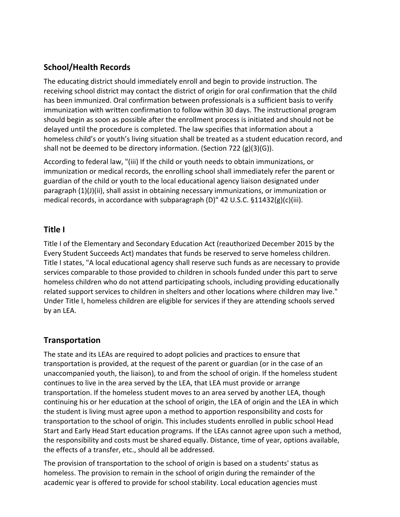## **School/Health Records**

The educating district should immediately enroll and begin to provide instruction. The receiving school district may contact the district of origin for oral confirmation that the child has been immunized. Oral confirmation between professionals is a sufficient basis to verify immunization with written confirmation to follow within 30 days. The instructional program should begin as soon as possible after the enrollment process is initiated and should not be delayed until the procedure is completed. The law specifies that information about a homeless child's or youth's living situation shall be treated as a student education record, and shall not be deemed to be directory information. (Section 722 (g)(3)(G)).

According to federal law, "(iii) If the child or youth needs to obtain immunizations, or immunization or medical records, the enrolling school shall immediately refer the parent or guardian of the child or youth to the local educational agency liaison designated under paragraph (1)(J)(ii), shall assist in obtaining necessary immunizations, or immunization or medical records, in accordance with subparagraph (D)" 42 U.S.C. §11432(g)(c)(iii).

## **Title I**

Title I of the Elementary and Secondary Education Act (reauthorized December 2015 by the Every Student Succeeds Act) mandates that funds be reserved to serve homeless children. Title I states, "A local educational agency shall reserve such funds as are necessary to provide services comparable to those provided to children in schools funded under this part to serve homeless children who do not attend participating schools, including providing educationally related support services to children in shelters and other locations where children may live." Under Title I, homeless children are eligible for services if they are attending schools served by an LEA.

## **Transportation**

The state and its LEAs are required to adopt policies and practices to ensure that transportation is provided, at the request of the parent or guardian (or in the case of an unaccompanied youth, the liaison), to and from the school of origin. If the homeless student continues to live in the area served by the LEA, that LEA must provide or arrange transportation. If the homeless student moves to an area served by another LEA, though continuing his or her education at the school of origin, the LEA of origin and the LEA in which the student is living must agree upon a method to apportion responsibility and costs for transportation to the school of origin. This includes students enrolled in public school Head Start and Early Head Start education programs. If the LEAs cannot agree upon such a method, the responsibility and costs must be shared equally. Distance, time of year, options available, the effects of a transfer, etc., should all be addressed.

The provision of transportation to the school of origin is based on a students' status as homeless. The provision to remain in the school of origin during the remainder of the academic year is offered to provide for school stability. Local education agencies must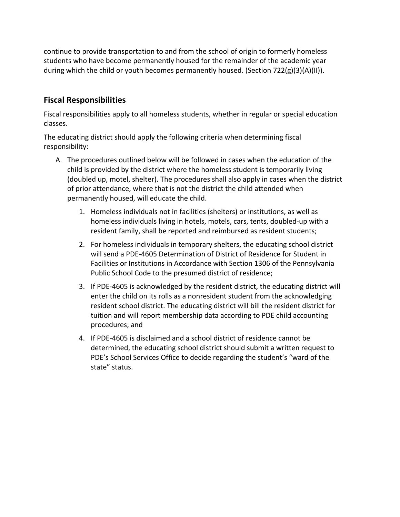continue to provide transportation to and from the school of origin to formerly homeless students who have become permanently housed for the remainder of the academic year during which the child or youth becomes permanently housed. (Section 722 $(g)(3)(A)(II)$ ).

## **Fiscal Responsibilities**

Fiscal responsibilities apply to all homeless students, whether in regular or special education classes.

The educating district should apply the following criteria when determining fiscal responsibility:

- A. The procedures outlined below will be followed in cases when the education of the child is provided by the district where the homeless student is temporarily living (doubled up, motel, shelter). The procedures shall also apply in cases when the district of prior attendance, where that is not the district the child attended when permanently housed, will educate the child.
	- 1. Homeless individuals not in facilities (shelters) or institutions, as well as homeless individuals living in hotels, motels, cars, tents, doubled‐up with a resident family, shall be reported and reimbursed as resident students;
	- 2. For homeless individuals in temporary shelters, the educating school district will send a PDE‐4605 Determination of District of Residence for Student in Facilities or Institutions in Accordance with Section 1306 of the Pennsylvania Public School Code to the presumed district of residence;
	- 3. If PDE‐4605 is acknowledged by the resident district, the educating district will enter the child on its rolls as a nonresident student from the acknowledging resident school district. The educating district will bill the resident district for tuition and will report membership data according to PDE child accounting procedures; and
	- 4. If PDE‐4605 is disclaimed and a school district of residence cannot be determined, the educating school district should submit a written request to PDE's School Services Office to decide regarding the student's "ward of the state" status.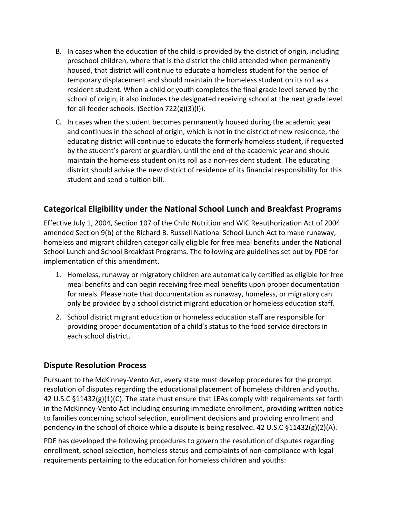- B. In cases when the education of the child is provided by the district of origin, including preschool children, where that is the district the child attended when permanently housed, that district will continue to educate a homeless student for the period of temporary displacement and should maintain the homeless student on its roll as a resident student. When a child or youth completes the final grade level served by the school of origin, it also includes the designated receiving school at the next grade level for all feeder schools. (Section 722(g)(3)(I)).
- C. In cases when the student becomes permanently housed during the academic year and continues in the school of origin, which is not in the district of new residence, the educating district will continue to educate the formerly homeless student, if requested by the student's parent or guardian, until the end of the academic year and should maintain the homeless student on its roll as a non-resident student. The educating district should advise the new district of residence of its financial responsibility for this student and send a tuition bill.

## **Categorical Eligibility under the National School Lunch and Breakfast Programs**

Effective July 1, 2004, Section 107 of the Child Nutrition and WIC Reauthorization Act of 2004 amended Section 9(b) of the Richard B. Russell National School Lunch Act to make runaway, homeless and migrant children categorically eligible for free meal benefits under the National School Lunch and School Breakfast Programs. The following are guidelines set out by PDE for implementation of this amendment.

- 1. Homeless, runaway or migratory children are automatically certified as eligible for free meal benefits and can begin receiving free meal benefits upon proper documentation for meals. Please note that documentation as runaway, homeless, or migratory can only be provided by a school district migrant education or homeless education staff.
- 2. School district migrant education or homeless education staff are responsible for providing proper documentation of a child's status to the food service directors in each school district.

## **Dispute Resolution Process**

Pursuant to the McKinney‐Vento Act, every state must develop procedures for the prompt resolution of disputes regarding the educational placement of homeless children and youths. 42 U.S.C  $\S 11432(g)(1)(C)$ . The state must ensure that LEAs comply with requirements set forth in the McKinney‐Vento Act including ensuring immediate enrollment, providing written notice to families concerning school selection, enrollment decisions and providing enrollment and pendency in the school of choice while a dispute is being resolved. 42 U.S.C §11432(g)(2)(A).

PDE has developed the following procedures to govern the resolution of disputes regarding enrollment, school selection, homeless status and complaints of non‐compliance with legal requirements pertaining to the education for homeless children and youths: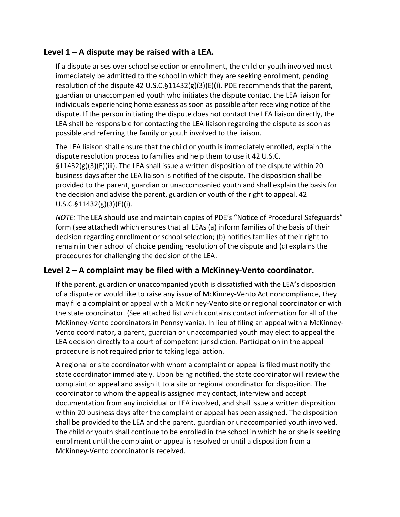## **Level 1 – A dispute may be raised with a LEA.**

If a dispute arises over school selection or enrollment, the child or youth involved must immediately be admitted to the school in which they are seeking enrollment, pending resolution of the dispute 42 U.S.C. $\S 11432(g)(3)(E)(i)$ . PDE recommends that the parent, guardian or unaccompanied youth who initiates the dispute contact the LEA liaison for individuals experiencing homelessness as soon as possible after receiving notice of the dispute. If the person initiating the dispute does not contact the LEA liaison directly, the LEA shall be responsible for contacting the LEA liaison regarding the dispute as soon as possible and referring the family or youth involved to the liaison.

The LEA liaison shall ensure that the child or youth is immediately enrolled, explain the dispute resolution process to families and help them to use it 42 U.S.C.  $\S 11432(g)(3)(E)(iii)$ . The LEA shall issue a written disposition of the dispute within 20 business days after the LEA liaison is notified of the dispute. The disposition shall be provided to the parent, guardian or unaccompanied youth and shall explain the basis for the decision and advise the parent, guardian or youth of the right to appeal. 42 U.S.C.§11432(g)(3)(E)(i).

*NOTE:* The LEA should use and maintain copies of PDE's "Notice of Procedural Safeguards" form (see attached) which ensures that all LEAs (a) inform families of the basis of their decision regarding enrollment or school selection; (b) notifies families of their right to remain in their school of choice pending resolution of the dispute and (c) explains the procedures for challenging the decision of the LEA.

## **Level 2 – A complaint may be filed with a McKinney‐Vento coordinator.**

If the parent, guardian or unaccompanied youth is dissatisfied with the LEA's disposition of a dispute or would like to raise any issue of McKinney‐Vento Act noncompliance, they may file a complaint or appeal with a McKinney‐Vento site or regional coordinator or with the state coordinator. (See attached list which contains contact information for all of the McKinney‐Vento coordinators in Pennsylvania). In lieu of filing an appeal with a McKinney‐ Vento coordinator, a parent, guardian or unaccompanied youth may elect to appeal the LEA decision directly to a court of competent jurisdiction. Participation in the appeal procedure is not required prior to taking legal action.

A regional or site coordinator with whom a complaint or appeal is filed must notify the state coordinator immediately. Upon being notified, the state coordinator will review the complaint or appeal and assign it to a site or regional coordinator for disposition. The coordinator to whom the appeal is assigned may contact, interview and accept documentation from any individual or LEA involved, and shall issue a written disposition within 20 business days after the complaint or appeal has been assigned. The disposition shall be provided to the LEA and the parent, guardian or unaccompanied youth involved. The child or youth shall continue to be enrolled in the school in which he or she is seeking enrollment until the complaint or appeal is resolved or until a disposition from a McKinney‐Vento coordinator is received.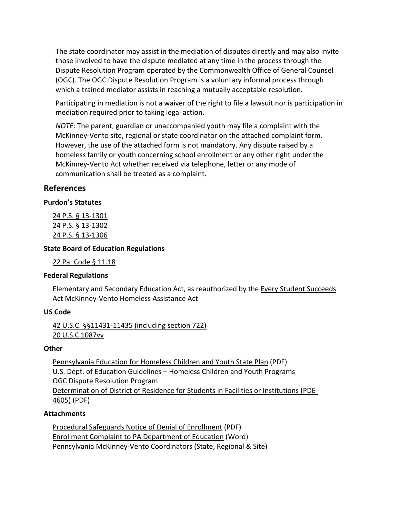The state coordinator may assist in the mediation of disputes directly and may also invite those involved to have the dispute mediated at any time in the process through the Dispute Resolution Program operated by the Commonwealth Office of General Counsel (OGC). The OGC Dispute Resolution Program is a voluntary informal process through which a trained mediator assists in reaching a mutually acceptable resolution.

Participating in mediation is not a waiver of the right to file a lawsuit nor is participation in mediation required prior to taking legal action.

*NOTE*: The parent, guardian or unaccompanied youth may file a complaint with the McKinney‐Vento site, regional or state coordinator on the attached complaint form. However, the use of the attached form is not mandatory. Any dispute raised by a homeless family or youth concerning school enrollment or any other right under the McKinney‐Vento Act whether received via telephone, letter or any mode of communication shall be treated as a complaint.

## **References**

#### **Purdon's Statutes**

24 P.S. § 13‐1301 24 P.S. § 13‐1302 24 P.S. § 13‐1306

#### **State Board of Education Regulations**

22 Pa. Code § 11.18

#### **Federal Regulations**

Elementary and Secondary Education Act, as reauthorized by the Every Student Succeeds Act McKinney‐Vento Homeless Assistance Act

#### **US Code**

42 U.S.C. §§11431‐11435 (including section 722) 20 U.S.C 1087vv

## **Other**

Pennsylvania Education for Homeless Children and Youth State Plan (PDF) U.S. Dept. of Education Guidelines – Homeless Children and Youth Programs OGC Dispute Resolution Program Determination of District of Residence for Students in Facilities or Institutions (PDE‐ 4605) (PDF)

## **Attachments**

Procedural Safeguards Notice of Denial of Enrollment (PDF) Enrollment Complaint to PA Department of Education (Word) Pennsylvania McKinney‐Vento Coordinators (State, Regional & Site)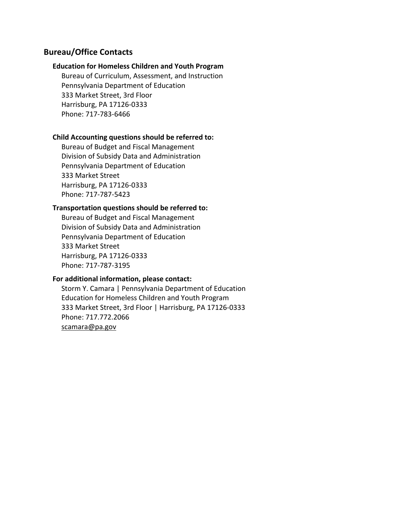### **Bureau/Office Contacts**

#### **Education for Homeless Children and Youth Program**

Bureau of Curriculum, Assessment, and Instruction Pennsylvania Department of Education 333 Market Street, 3rd Floor Harrisburg, PA 17126‐0333 Phone: 717‐783‐6466

#### **Child Accounting questions should be referred to:**

Bureau of Budget and Fiscal Management Division of Subsidy Data and Administration Pennsylvania Department of Education 333 Market Street Harrisburg, PA 17126‐0333 Phone: 717‐787‐5423

#### **Transportation questions should be referred to:**

Bureau of Budget and Fiscal Management Division of Subsidy Data and Administration Pennsylvania Department of Education 333 Market Street Harrisburg, PA 17126‐0333 Phone: 717‐787‐3195

#### **For additional information, please contact:**

Storm Y. Camara | Pennsylvania Department of Education Education for Homeless Children and Youth Program 333 Market Street, 3rd Floor | Harrisburg, PA 17126‐0333 Phone: 717.772.2066 scamara@pa.gov